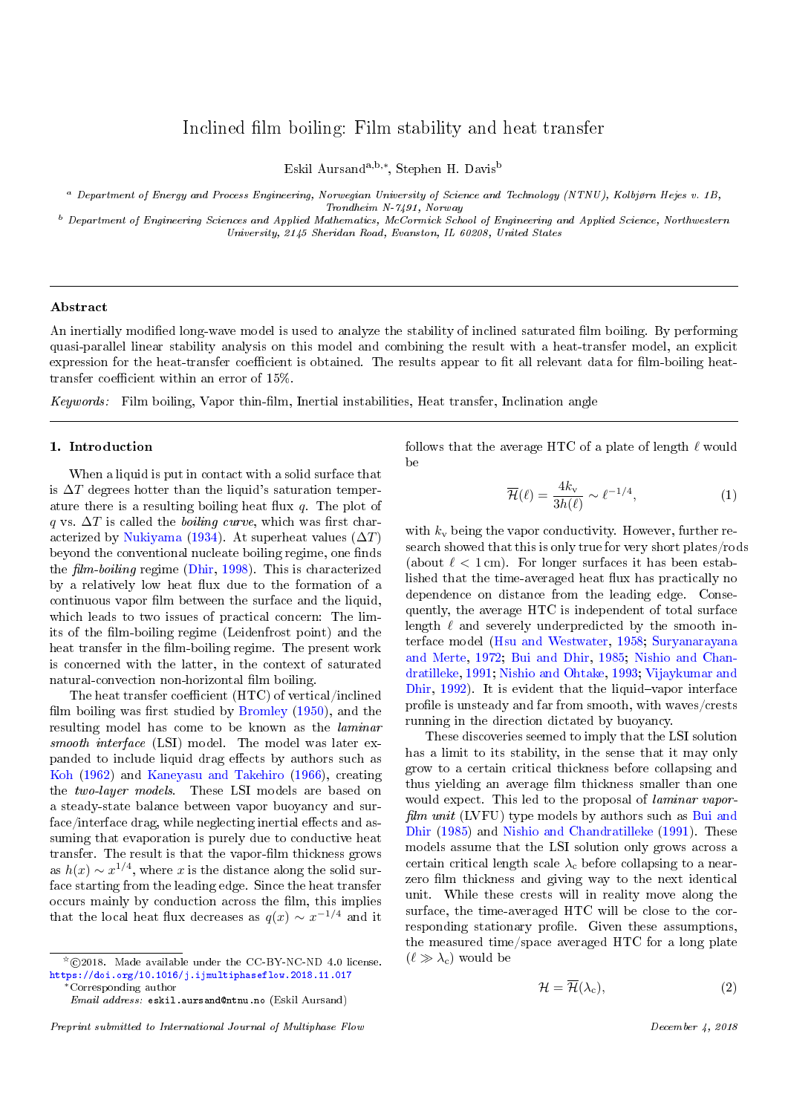# Inclined film boiling: Film stability and heat transfer

Eskil Aursanda,b,<sup>∗</sup> , Stephen H. Davis<sup>b</sup>

<sup>a</sup> Department of Energy and Process Engineering, Norwegian University of Science and Technology (NTNU), Kolbjørn Hejes v. 1B,

Trondheim N-7491, Norway

<sup>b</sup> Department of Engineering Sciences and Applied Mathematics, McCormick School of Engineering and Applied Science, Northwestern University, 2145 Sheridan Road, Evanston, IL 60208, United States

#### Abstract

An inertially modified long-wave model is used to analyze the stability of inclined saturated film boiling. By performing quasi-parallel linear stability analysis on this model and combining the result with a heat-transfer model, an explicit expression for the heat-transfer coefficient is obtained. The results appear to fit all relevant data for film-boiling heattransfer coefficient within an error of  $15\%$ .

Keywords: Film boiling, Vapor thin-film, Inertial instabilities, Heat transfer, Inclination angle

### <span id="page-0-2"></span>1. Introduction

When a liquid is put in contact with a solid surface that is  $\Delta T$  degrees hotter than the liquid's saturation temperature there is a resulting boiling heat flux  $q$ . The plot of q vs.  $\Delta T$  is called the *boiling curve*, which was first char-acterized by [Nukiyama](#page-15-0) [\(1934\)](#page-15-0). At superheat values  $(\Delta T)$ beyond the conventional nucleate boiling regime, one finds the  $film-boiling$  regime [\(Dhir,](#page-14-0) [1998\)](#page-14-0). This is characterized by a relatively low heat flux due to the formation of a continuous vapor film between the surface and the liquid, which leads to two issues of practical concern: The limits of the film-boiling regime (Leidenfrost point) and the heat transfer in the film-boiling regime. The present work is concerned with the latter, in the context of saturated natural-convection non-horizontal film boiling.

The heat transfer coefficient  $(HTC)$  of vertical/inclined film boiling was first studied by [Bromley](#page-14-1)  $(1950)$ , and the resulting model has come to be known as the laminar smooth interface (LSI) model. The model was later expanded to include liquid drag effects by authors such as [Koh](#page-14-2) [\(1962\)](#page-14-2) and [Kaneyasu and Takehiro](#page-14-3) [\(1966\)](#page-14-3), creating the two-layer models. These LSI models are based on a steady-state balance between vapor buoyancy and surface/interface drag, while neglecting inertial effects and assuming that evaporation is purely due to conductive heat transfer. The result is that the vapor-film thickness grows as  $h(x) \sim x^{1/4}$ , where x is the distance along the solid surface starting from the leading edge. Since the heat transfer occurs mainly by conduction across the film, this implies that the local heat flux decreases as  $q(x) \sim x^{-1/4}$  and it

follows that the average HTC of a plate of length  $\ell$  would be

<span id="page-0-0"></span>
$$
\overline{\mathcal{H}}(\ell) = \frac{4k_v}{3h(\ell)} \sim \ell^{-1/4},\tag{1}
$$

with  $k_v$  being the vapor conductivity. However, further research showed that this is only true for very short plates/rods (about  $\ell < 1$  cm). For longer surfaces it has been established that the time-averaged heat flux has practically no dependence on distance from the leading edge. Consequently, the average HTC is independent of total surface length  $\ell$  and severely underpredicted by the smooth interface model [\(Hsu and Westwater,](#page-14-4) [1958;](#page-14-4) [Suryanarayana](#page-15-1) [and Merte,](#page-15-1) [1972;](#page-15-1) [Bui and Dhir,](#page-14-5) [1985;](#page-14-5) [Nishio and Chan](#page-15-2)[dratilleke,](#page-15-2) [1991;](#page-15-2) [Nishio and Ohtake,](#page-15-3) [1993;](#page-15-3) [Vijaykumar and](#page-15-4) [Dhir,](#page-15-4)  $1992$ ). It is evident that the liquid-vapor interface profile is unsteady and far from smooth, with waves/crests running in the direction dictated by buoyancy.

These discoveries seemed to imply that the LSI solution has a limit to its stability, in the sense that it may only grow to a certain critical thickness before collapsing and thus yielding an average film thickness smaller than one would expect. This led to the proposal of *laminar vapor* $film unit (LVFU)$  type models by authors such as [Bui and](#page-14-5) [Dhir](#page-14-5) [\(1985\)](#page-14-5) and [Nishio and Chandratilleke](#page-15-2) [\(1991\)](#page-15-2). These models assume that the LSI solution only grows across a certain critical length scale  $\lambda_c$  before collapsing to a nearzero film thickness and giving way to the next identical unit. While these crests will in reality move along the surface, the time-averaged HTC will be close to the corresponding stationary profile. Given these assumptions, the measured time/space averaged HTC for a long plate  $(\ell \gg \lambda_c)$  would be

<span id="page-0-1"></span>
$$
\mathcal{H} = \mathcal{H}(\lambda_c),\tag{2}
$$

 $\overline{C}$  (c)2018. Made available under the CC-BY-NC-ND 4.0 license. <https://doi.org/10.1016/j.ijmultiphaseflow.2018.11.017> ∗Corresponding author

Email address: eskil.aursand@ntnu.no (Eskil Aursand)

Preprint submitted to International Journal of Multiphase Flow December 4, 2018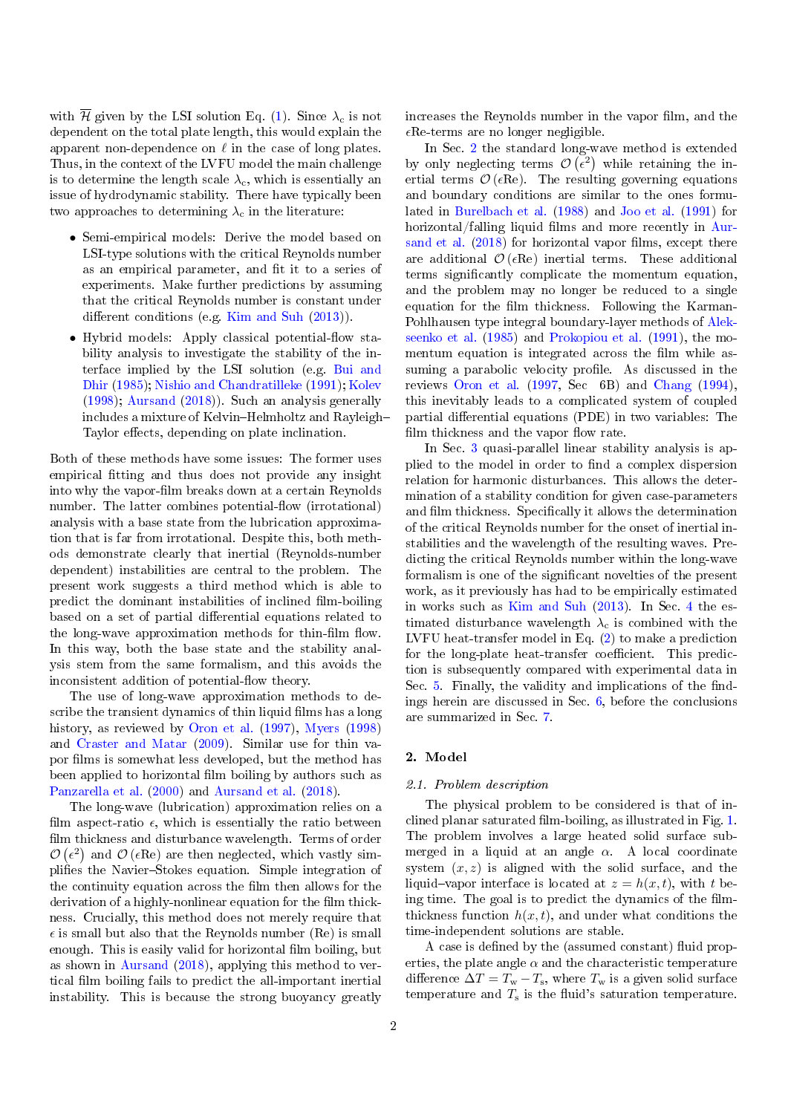with  $\overline{\mathcal{H}}$  given by the LSI solution Eq. [\(1\)](#page-0-0). Since  $\lambda_c$  is not dependent on the total plate length, this would explain the apparent non-dependence on  $\ell$  in the case of long plates. Thus, in the context of the LVFU model the main challenge is to determine the length scale  $\lambda_c$ , which is essentially an issue of hydrodynamic stability. There have typically been two approaches to determining  $\lambda_c$  in the literature:

- Semi-empirical models: Derive the model based on LSI-type solutions with the critical Reynolds number as an empirical parameter, and fit it to a series of experiments. Make further predictions by assuming that the critical Reynolds number is constant under different conditions (e.g. [Kim and Suh](#page-14-6)  $(2013)$ ).
- Hybrid models: Apply classical potential-flow stability analysis to investigate the stability of the interface implied by the LSI solution (e.g. [Bui and](#page-14-5) [Dhir](#page-14-5) [\(1985\)](#page-14-5); [Nishio and Chandratilleke](#page-15-2) [\(1991\)](#page-15-2); [Kolev](#page-14-7) [\(1998\)](#page-14-7); [Aursand](#page-14-8) [\(2018\)](#page-14-8)). Such an analysis generally includes a mixture of Kelvin-Helmholtz and Rayleigh-Taylor effects, depending on plate inclination.

Both of these methods have some issues: The former uses empirical fitting and thus does not provide any insight into why the vapor-film breaks down at a certain Reynolds number. The latter combines potential-flow (irrotational) analysis with a base state from the lubrication approximation that is far from irrotational. Despite this, both methods demonstrate clearly that inertial (Reynolds-number dependent) instabilities are central to the problem. The present work suggests a third method which is able to predict the dominant instabilities of inclined film-boiling based on a set of partial differential equations related to the long-wave approximation methods for thin-film flow. In this way, both the base state and the stability analysis stem from the same formalism, and this avoids the inconsistent addition of potential-flow theory.

The use of long-wave approximation methods to describe the transient dynamics of thin liquid films has a long history, as reviewed by [Oron et al.](#page-15-5) [\(1997\)](#page-15-5), [Myers](#page-14-9) [\(1998\)](#page-14-9) and [Craster and Matar](#page-14-10) [\(2009\)](#page-14-10). Similar use for thin vapor films is somewhat less developed, but the method has been applied to horizontal film boiling by authors such as [Panzarella et al.](#page-15-6) [\(2000\)](#page-15-6) and [Aursand et al.](#page-14-11) [\(2018\)](#page-14-11).

The long-wave (lubrication) approximation relies on a film aspect-ratio  $\epsilon$ , which is essentially the ratio between film thickness and disturbance wavelength. Terms of order  $\mathcal{O}\left(\epsilon^2\right)$  and  $\mathcal{O}\left(\epsilon \text{Re}\right)$  are then neglected, which vastly simplifies the Navier-Stokes equation. Simple integration of the continuity equation across the film then allows for the derivation of a highly-nonlinear equation for the film thickness. Crucially, this method does not merely require that  $\epsilon$  is small but also that the Reynolds number (Re) is small enough. This is easily valid for horizontal film boiling, but as shown in [Aursand](#page-14-8) [\(2018\)](#page-14-8), applying this method to vertical film boiling fails to predict the all-important inertial instability. This is because the strong buoyancy greatly

increases the Reynolds number in the vapor film, and the  $\epsilon$ Re-terms are no longer negligible.

In Sec. [2](#page-1-0) the standard long-wave method is extended by only neglecting terms  $\mathcal{O}(\epsilon^2)$  while retaining the inertial terms  $\mathcal{O}(\epsilon \text{Re})$ . The resulting governing equations and boundary conditions are similar to the ones formulated in [Burelbach et al.](#page-14-12) [\(1988\)](#page-14-12) and [Joo et al.](#page-14-13) [\(1991\)](#page-14-13) for horizontal/falling liquid films and more recently in [Aur](#page-14-11)[sand et al.](#page-14-11)  $(2018)$  for horizontal vapor films, except there are additional  $\mathcal{O}(\epsilon \text{Re})$  inertial terms. These additional terms signicantly complicate the momentum equation, and the problem may no longer be reduced to a single equation for the film thickness. Following the Karman-Pohlhausen type integral boundary-layer methods of [Alek](#page-14-14)[seenko et al.](#page-14-14) [\(1985\)](#page-14-14) and [Prokopiou et al.](#page-15-7) [\(1991\)](#page-15-7), the momentum equation is integrated across the film while assuming a parabolic velocity profile. As discussed in the reviews [Oron et al.](#page-15-5) [\(1997,](#page-15-5) Sec 6B) and [Chang](#page-14-15) [\(1994\)](#page-14-15), this inevitably leads to a complicated system of coupled partial differential equations (PDE) in two variables: The film thickness and the vapor flow rate.

In Sec. [3](#page-6-0) quasi-parallel linear stability analysis is applied to the model in order to find a complex dispersion relation for harmonic disturbances. This allows the determination of a stability condition for given case-parameters and film thickness. Specifically it allows the determination of the critical Reynolds number for the onset of inertial instabilities and the wavelength of the resulting waves. Predicting the critical Reynolds number within the long-wave formalism is one of the significant novelties of the present work, as it previously has had to be empirically estimated in works such as [Kim and Suh](#page-14-6) [\(2013\)](#page-14-6). In Sec. [4](#page-10-0) the estimated disturbance wavelength  $\lambda_c$  is combined with the LVFU heat-transfer model in Eq. [\(2\)](#page-0-1) to make a prediction for the long-plate heat-transfer coefficient. This prediction is subsequently compared with experimental data in Sec. [5.](#page-10-1) Finally, the validity and implications of the findings herein are discussed in Sec. [6,](#page-12-0) before the conclusions are summarized in Sec. [7.](#page-14-16)

# <span id="page-1-0"></span>2. Model

#### 2.1. Problem description

The physical problem to be considered is that of inclined planar saturated film-boiling, as illustrated in Fig.  $1$ . The problem involves a large heated solid surface submerged in a liquid at an angle  $\alpha$ . A local coordinate system  $(x, z)$  is aligned with the solid surface, and the liquid-vapor interface is located at  $z = h(x, t)$ , with t being time. The goal is to predict the dynamics of the filmthickness function  $h(x, t)$ , and under what conditions the time-independent solutions are stable.

A case is defined by the (assumed constant) fluid properties, the plate angle  $\alpha$  and the characteristic temperature difference  $\Delta T = T_{\rm w} - T_{\rm s}$ , where  $T_{\rm w}$  is a given solid surface temperature and  $T_s$  is the fluid's saturation temperature.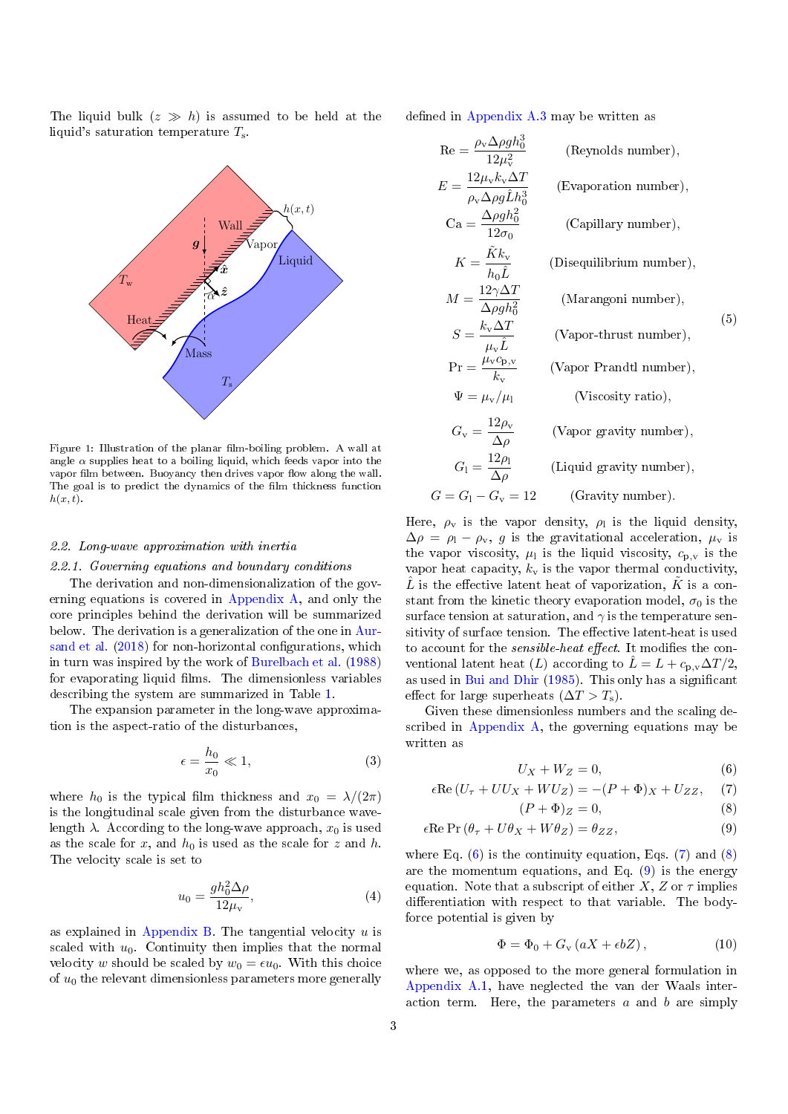The liquid bulk  $(z \gg h)$  is assumed to be held at the liquid's saturation temperature  $T_s$ .

<span id="page-2-0"></span>

Figure 1: Illustration of the planar film-boiling problem. A wall at angle  $\alpha$  supplies heat to a boiling liquid, which feeds vapor into the vapor film between. Buoyancy then drives vapor flow along the wall. The goal is to predict the dynamics of the film thickness function  $h(x, t)$ .

#### 2.2. Long-wave approximation with inertia

#### <span id="page-2-7"></span>2.2.1. Governing equations and boundary conditions

The derivation and non-dimensionalization of the governing equations is covered in [Appendix A,](#page-15-8) and only the core principles behind the derivation will be summarized below. The derivation is a generalization of the one in [Aur](#page-14-11)[sand et al.](#page-14-11) [\(2018\)](#page-14-11) for non-horizontal configurations, which in turn was inspired by the work of [Burelbach et al.](#page-14-12) [\(1988\)](#page-14-12) for evaporating liquid films. The dimensionless variables describing the system are summarized in Table [1.](#page-3-0)

The expansion parameter in the long-wave approximation is the aspect-ratio of the disturbances,

$$
\epsilon = \frac{h_0}{x_0} \ll 1,\tag{3}
$$

where  $h_0$  is the typical film thickness and  $x_0 = \lambda/(2\pi)$ is the longitudinal scale given from the disturbance wavelength  $\lambda$ . According to the long-wave approach,  $x_0$  is used as the scale for x, and  $h_0$  is used as the scale for z and h. The velocity scale is set to

$$
u_0 = \frac{gh_0^2 \Delta \rho}{12\mu_v},\tag{4}
$$

as explained in [Appendix B.](#page-16-0) The tangential velocity  $u$  is scaled with  $u_0$ . Continuity then implies that the normal velocity w should be scaled by  $w_0 = \epsilon u_0$ . With this choice of  $u_0$  the relevant dimensionless parameters more generally defined in Appendix  $A.3$  may be written as

<span id="page-2-5"></span>
$$
\text{Re} = \frac{\rho_{\rm v} \Delta \rho g h_0^3}{12 \mu_{\rm v}^2} \qquad \text{(Reynolds number)},
$$
\n
$$
E = \frac{12 \mu_{\rm v} k_{\rm v} \Delta T}{\rho_{\rm v} \Delta \rho g \hat{L} h_0^3} \qquad \text{(Evaporation number)},
$$
\n
$$
\text{Ca} = \frac{\Delta \rho g h_0^2}{12 \sigma_0} \qquad \text{(Capillary number)},
$$
\n
$$
K = \frac{\tilde{K} k_{\rm v}}{h_0 \hat{L}} \qquad \text{(Disequilibrium number)},
$$
\n
$$
M = \frac{12 \gamma \Delta T}{\Delta \rho g h_0^2} \qquad \text{(Marangoni number)},
$$
\n
$$
S = \frac{k_{\rm v} \Delta T}{\mu_{\rm v} \hat{L}} \qquad \text{(Vapor-thrust number)},
$$
\n
$$
\text{Pr} = \frac{\mu_{\rm v} c_{\rm p, v}}{k_{\rm v}} \qquad \text{(Vapor Prandtl number)},
$$
\n
$$
\Psi = \mu_{\rm v}/\mu_{\rm l} \qquad \text{(Viscosity ratio)},
$$
\n
$$
G_{\rm v} = \frac{12 \rho_{\rm v}}{\Delta \rho} \qquad \text{(Uapor gravity number)},
$$
\n
$$
G_{\rm l} = \frac{12 \rho_{\rm l}}{\Delta \rho} \qquad \text{(Liquid gravity number)},
$$
\n
$$
G = G_{\rm l} - G_{\rm v} = 12 \qquad \text{(Gravity number)}.
$$

Here,  $\rho_{\rm v}$  is the vapor density,  $\rho_{\rm l}$  is the liquid density,  $\Delta \rho = \rho_{\rm l} - \rho_{\rm v}$ , g is the gravitational acceleration,  $\mu_{\rm v}$  is the vapor viscosity,  $\mu_1$  is the liquid viscosity,  $c_{p,v}$  is the vapor heat capacity,  $k_v$  is the vapor thermal conductivity,  $\hat{L}$  is the effective latent heat of vaporization,  $\hat{K}$  is a constant from the kinetic theory evaporation model,  $\sigma_0$  is the surface tension at saturation, and  $\gamma$  is the temperature sensitivity of surface tension. The effective latent-heat is used to account for the *sensible-heat effect*. It modifies the conventional latent heat  $(L)$  according to  $\bar{L} = L + c_{p,v} \Delta T/2$ , as used in [Bui and Dhir](#page-14-5) [\(1985\)](#page-14-5). This only has a signicant effect for large superheats  $(\Delta T > T_s)$ .

Given these dimensionless numbers and the scaling described in [Appendix A,](#page-15-8) the governing equations may be written as

<span id="page-2-4"></span><span id="page-2-3"></span><span id="page-2-2"></span><span id="page-2-1"></span>
$$
U_X + W_Z = 0,\t\t(6)
$$

$$
\epsilon \text{Re}(U_\tau + UU_X + WU_Z) = -(P + \Phi)_X + U_{ZZ}, \quad (7)
$$

$$
(P + \Phi)_Z = 0,\t\t(8)
$$

$$
\epsilon \operatorname{Re} \operatorname{Pr} (\theta_{\tau} + U\theta_X + W\theta_Z) = \theta_{ZZ},\tag{9}
$$

<span id="page-2-6"></span>where Eq.  $(6)$  is the continuity equation, Eqs.  $(7)$  and  $(8)$ are the momentum equations, and Eq. [\(9\)](#page-2-4) is the energy equation. Note that a subscript of either X, Z or  $\tau$  implies differentiation with respect to that variable. The bodyforce potential is given by

$$
\Phi = \Phi_0 + G_{\rm v} \left( aX + \epsilon bZ \right),\tag{10}
$$

where we, as opposed to the more general formulation in [Appendix A.1,](#page-15-9) have neglected the van der Waals interaction term. Here, the parameters  $a$  and  $b$  are simply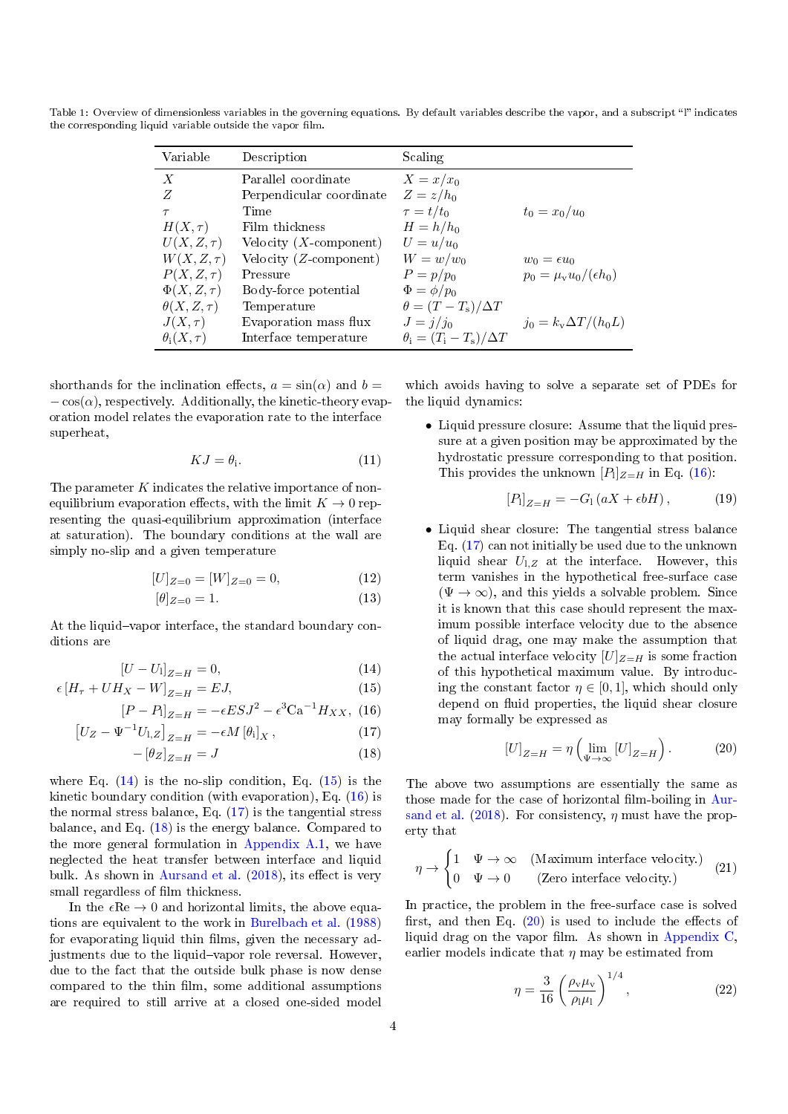| Variable             | Description               | Scaling                             |                                  |
|----------------------|---------------------------|-------------------------------------|----------------------------------|
| $\boldsymbol{X}$     | Parallel coordinate       | $X = x/x_0$                         |                                  |
| Z                    | Perpendicular coordinate  | $Z=z/h_0$                           |                                  |
| $\tau$               | Time                      | $\tau = t/t_0$                      | $t_0 = x_0/u_0$                  |
| $H(X,\tau)$          | Film thickness            | $H = h/h_0$                         |                                  |
| $U(X, Z, \tau)$      | Velocity $(X$ -component) | $U=u/u_0$                           |                                  |
| $W(X,Z,\tau)$        | Velocity $(Z$ -component) | $W=w/w_0$                           | $w_0 = \epsilon u_0$             |
| $P(X, Z, \tau)$      | Pressure                  | $P=p/p_0$                           | $p_0 = \mu_v u_0/(\epsilon h_0)$ |
| $\Phi(X,Z,\tau)$     | Body-force potential      | $\Phi = \phi / p_0$                 |                                  |
| $\theta(X, Z, \tau)$ | Temperature               | $\theta = (T - T_{\rm s})/\Delta T$ |                                  |
| $J(X,\tau)$          | Evaporation mass flux     | $J = j/j_0$                         | $j_0 = k_v \Delta T / (h_0 L)$   |
| $\theta_i(X,\tau)$   | Interface temperature     | $\theta_i = (T_i - T_s)/\Delta T$   |                                  |

<span id="page-3-0"></span>Table 1: Overview of dimensionless variables in the governing equations. By default variables describe the vapor, and a subscript "l" indicates the corresponding liquid variable outside the vapor film.

shorthands for the inclination effects,  $a = \sin(\alpha)$  and  $b =$  $-\cos(\alpha)$ , respectively. Additionally, the kinetic-theory evaporation model relates the evaporation rate to the interface superheat,

$$
KJ = \theta_{\mathbf{i}}.\tag{11}
$$

The parameter  $K$  indicates the relative importance of nonequilibrium evaporation effects, with the limit  $K \to 0$  representing the quasi-equilibrium approximation (interface at saturation). The boundary conditions at the wall are simply no-slip and a given temperature

$$
[U]_{Z=0} = [W]_{Z=0} = 0,\t\t(12)
$$

$$
[\theta]_{Z=0} = 1.\tag{13}
$$

At the liquid-vapor interface, the standard boundary conditions are

$$
[U - U_1]_{Z=H} = 0,\t\t(14)
$$

$$
\epsilon \left[ H_{\tau} + U H_X - W \right]_{Z=H} = EJ, \tag{15}
$$

$$
[P - P]_{Z=H} = -\epsilon E S J^2 - \epsilon^3 C a^{-1} H_{XX}, \ (16)
$$

$$
\left[U_Z - \Psi^{-1} U_{1,Z}\right]_{Z=H} = -\epsilon M \left[\theta_i\right]_X,\tag{17}
$$

$$
-\left[\theta_Z\right]_{Z=H} = J\tag{18}
$$

where Eq.  $(14)$  is the no-slip condition, Eq.  $(15)$  is the kinetic boundary condition (with evaporation), Eq. [\(16\)](#page-3-3) is the normal stress balance, Eq. [\(17\)](#page-3-4) is the tangential stress balance, and Eq. [\(18\)](#page-3-5) is the energy balance. Compared to the more general formulation in [Appendix A.1,](#page-15-9) we have neglected the heat transfer between interface and liquid bulk. As shown in [Aursand et al.](#page-14-11)  $(2018)$ , its effect is very small regardless of film thickness.

In the  $\epsilon \text{Re} \to 0$  and horizontal limits, the above equations are equivalent to the work in [Burelbach et al.](#page-14-12) [\(1988\)](#page-14-12) for evaporating liquid thin films, given the necessary adjustments due to the liquid-vapor role reversal. However, due to the fact that the outside bulk phase is now dense compared to the thin film, some additional assumptions are required to still arrive at a closed one-sided model

which avoids having to solve a separate set of PDEs for the liquid dynamics:

<span id="page-3-8"></span>• Liquid pressure closure: Assume that the liquid pressure at a given position may be approximated by the hydrostatic pressure corresponding to that position. This provides the unknown  $[P]_{Z=H}$  in Eq. [\(16\)](#page-3-3):

$$
[P_1]_{Z=H} = -G_1(aX + \epsilon bH), \qquad (19)
$$

<span id="page-3-7"></span>• Liquid shear closure: The tangential stress balance Eq. [\(17\)](#page-3-4) can not initially be used due to the unknown liquid shear  $U_{1,Z}$  at the interface. However, this term vanishes in the hypothetical free-surface case  $(\Psi \to \infty)$ , and this yields a solvable problem. Since it is known that this case should represent the maximum possible interface velocity due to the absence of liquid drag, one may make the assumption that the actual interface velocity  $[U]_{Z=H}$  is some fraction of this hypothetical maximum value. By introducing the constant factor  $\eta \in [0, 1]$ , which should only depend on fluid properties, the liquid shear closure may formally be expressed as

<span id="page-3-6"></span>
$$
[U]_{Z=H} = \eta \left( \lim_{\Psi \to \infty} [U]_{Z=H} \right). \tag{20}
$$

<span id="page-3-5"></span><span id="page-3-4"></span><span id="page-3-3"></span><span id="page-3-2"></span><span id="page-3-1"></span>The above two assumptions are essentially the same as those made for the case of horizontal film-boiling in [Aur](#page-14-11)[sand et al.](#page-14-11) [\(2018\)](#page-14-11). For consistency,  $\eta$  must have the property that

$$
\eta \to \begin{cases} 1 & \Psi \to \infty & (\text{Maximum interface velocity.}) \\ 0 & \Psi \to 0 & (\text{Zero interface velocity.}) \end{cases}
$$
 (21)

In practice, the problem in the free-surface case is solved first, and then Eq.  $(20)$  is used to include the effects of liquid drag on the vapor film. As shown in [Appendix C,](#page-17-0) earlier models indicate that  $\eta$  may be estimated from

$$
\eta = \frac{3}{16} \left( \frac{\rho_v \mu_v}{\rho_l \mu_l} \right)^{1/4},\tag{22}
$$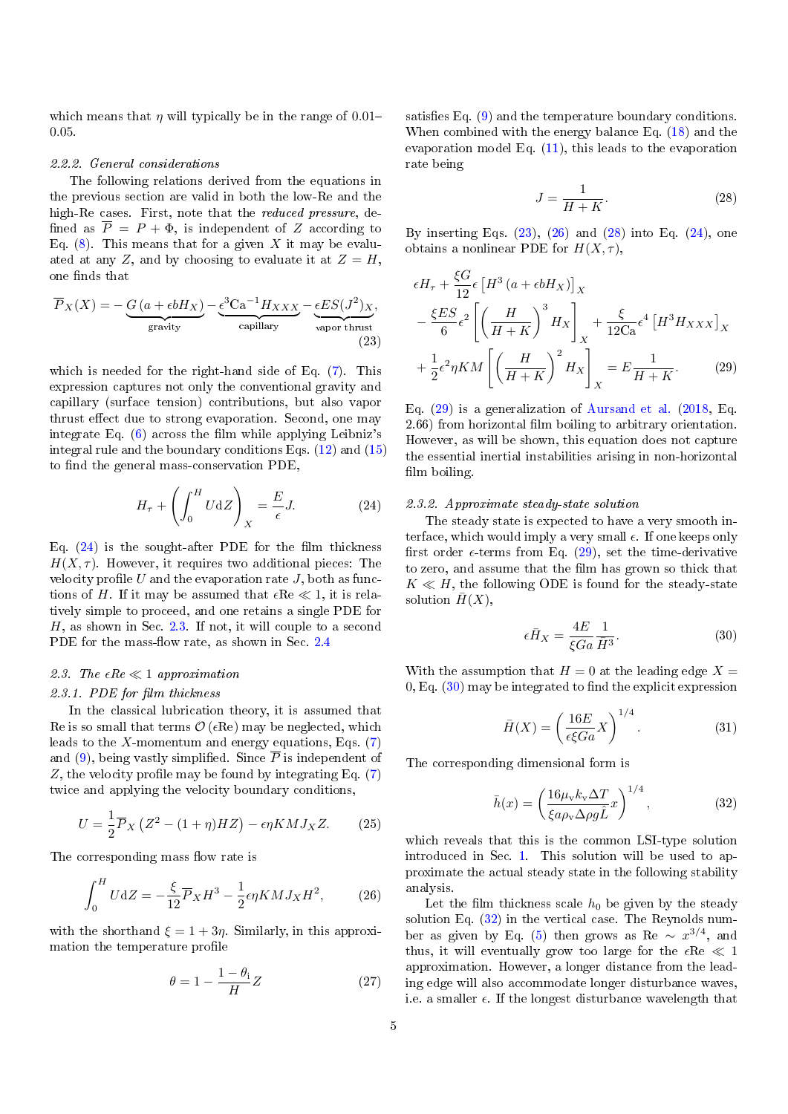which means that  $\eta$  will typically be in the range of 0.01– 0.05.

#### 2.2.2. General considerations

The following relations derived from the equations in the previous section are valid in both the low-Re and the high-Re cases. First, note that the reduced pressure, de fined as  $\overline{P} = P + \Phi$ , is independent of Z according to Eq.  $(8)$ . This means that for a given X it may be evaluated at any Z, and by choosing to evaluate it at  $Z = H$ , one finds that

$$
\overline{P}_X(X) = -\underbrace{G(a + \epsilon b H_X)}_{\text{gravity}} - \underbrace{\epsilon^3 \text{Ca}^{-1} H_{XXX}}_{\text{capillary}} - \underbrace{\epsilon ES(J^2)_X}_{\text{vapor thrust}},
$$
\n(23)

which is needed for the right-hand side of Eq. [\(7\)](#page-2-2). This expression captures not only the conventional gravity and capillary (surface tension) contributions, but also vapor thrust effect due to strong evaporation. Second, one may integrate Eq.  $(6)$  across the film while applying Leibniz's integral rule and the boundary conditions Eqs. [\(12\)](#page-3-7) and [\(15\)](#page-3-2) to find the general mass-conservation PDE,

$$
H_{\tau} + \left(\int_0^H U \, \mathrm{d}Z\right)_X = \frac{E}{\epsilon} J. \tag{24}
$$

Eq.  $(24)$  is the sought-after PDE for the film thickness  $H(X, \tau)$ . However, it requires two additional pieces: The velocity profile U and the evaporation rate J, both as functions of H. If it may be assumed that  $\epsilon \text{Re} \ll 1$ , it is relatively simple to proceed, and one retains a single PDE for H, as shown in Sec. [2.3.](#page-4-1) If not, it will couple to a second PDE for the mass-flow rate, as shown in Sec.  $2.4$ 

### <span id="page-4-1"></span>2.3. The  $\epsilon Re \ll 1$  approximation

#### 2.3.1. PDE for film thickness

In the classical lubrication theory, it is assumed that Re is so small that terms  $\mathcal{O}(\epsilon \text{Re})$  may be neglected, which leads to the X-momentum and energy equations, Eqs.  $(7)$ and [\(9\)](#page-2-4), being vastly simplified. Since  $\overline{P}$  is independent of Z, the velocity profile may be found by integrating Eq.  $(7)$ twice and applying the velocity boundary conditions,

$$
U = \frac{1}{2}\overline{P}_X \left(Z^2 - (1+\eta)HZ\right) - \epsilon \eta K MJ_X Z. \tag{25}
$$

The corresponding mass flow rate is

$$
\int_0^H U \mathrm{d}Z = -\frac{\xi}{12} \overline{P}_X H^3 - \frac{1}{2} \epsilon \eta K M J_X H^2, \tag{26}
$$

with the shorthand  $\xi = 1 + 3\eta$ . Similarly, in this approximation the temperature profile

$$
\theta = 1 - \frac{1 - \theta_i}{H} Z \tag{27}
$$

satisfies Eq.  $(9)$  and the temperature boundary conditions. When combined with the energy balance Eq. [\(18\)](#page-3-5) and the evaporation model Eq. [\(11\)](#page-3-8), this leads to the evaporation rate being

<span id="page-4-5"></span><span id="page-4-4"></span>
$$
J = \frac{1}{H + K}.\tag{28}
$$

By inserting Eqs.  $(23)$ ,  $(26)$  and  $(28)$  into Eq.  $(24)$ , one obtains a nonlinear PDE for  $H(X, \tau)$ ,

<span id="page-4-2"></span>
$$
\epsilon H_{\tau} + \frac{\xi G}{12} \epsilon \left[ H^3 \left( a + \epsilon b H_X \right) \right]_X
$$
  

$$
- \frac{\xi ES}{6} \epsilon^2 \left[ \left( \frac{H}{H + K} \right)^3 H_X \right]_X + \frac{\xi}{12 C a} \epsilon^4 \left[ H^3 H_{XXX} \right]_X
$$
  

$$
+ \frac{1}{2} \epsilon^2 \eta K M \left[ \left( \frac{H}{H + K} \right)^2 H_X \right]_X = E \frac{1}{H + K}.
$$
 (29)

Eq. [\(29\)](#page-4-5) is a generalization of [Aursand et al.](#page-14-11) [\(2018,](#page-14-11) Eq. 2.66) from horizontal film boiling to arbitrary orientation. However, as will be shown, this equation does not capture the essential inertial instabilities arising in non-horizontal film boiling.

#### <span id="page-4-10"></span><span id="page-4-0"></span>2.3.2. Approximate steady-state solution

The steady state is expected to have a very smooth interface, which would imply a very small  $\epsilon$ . If one keeps only first order  $\epsilon$ -terms from Eq. [\(29\)](#page-4-5), set the time-derivative to zero, and assume that the film has grown so thick that  $K \ll H$ , the following ODE is found for the steady-state solution  $\bar{H}(X)$ ,

<span id="page-4-6"></span>
$$
\epsilon \bar{H}_X = \frac{4E}{\xi G a} \frac{1}{\bar{H}^3}.
$$
 (30)

With the assumption that  $H = 0$  at the leading edge  $X =$  $0,$  Eq.  $(30)$  may be integrated to find the explicit expression

<span id="page-4-9"></span>
$$
\bar{H}(X) = \left(\frac{16E}{\epsilon \xi Ga} X\right)^{1/4}.
$$
 (31)

The corresponding dimensional form is

<span id="page-4-7"></span>
$$
\bar{h}(x) = \left(\frac{16\mu_v k_v \Delta T}{\xi a \rho_v \Delta \rho g \hat{L}} x\right)^{1/4},\tag{32}
$$

<span id="page-4-8"></span>which reveals that this is the common LSI-type solution introduced in Sec. [1.](#page-0-2) This solution will be used to approximate the actual steady state in the following stability analysis.

<span id="page-4-3"></span>Let the film thickness scale  $h_0$  be given by the steady solution Eq. [\(32\)](#page-4-7) in the vertical case. The Reynolds num-ber as given by Eq. [\(5\)](#page-2-5) then grows as Re  $\sim x^{3/4}$ , and thus, it will eventually grow too large for the  $\epsilon \text{Re} \ll 1$ approximation. However, a longer distance from the leading edge will also accommodate longer disturbance waves, i.e. a smaller  $\epsilon$ . If the longest disturbance wavelength that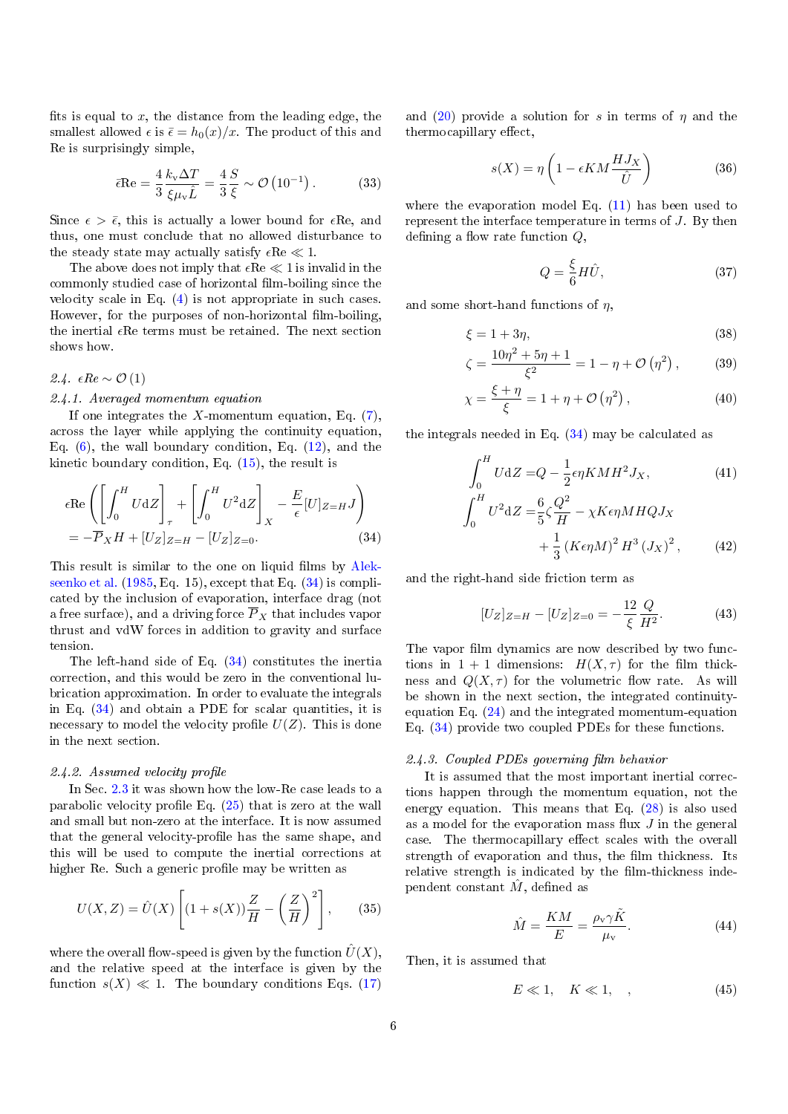fits is equal to  $x$ , the distance from the leading edge, the smallest allowed  $\epsilon$  is  $\bar{\epsilon} = h_0(x)/x$ . The product of this and Re is surprisingly simple,

$$
\bar{\epsilon} \text{Re} = \frac{4}{3} \frac{k_v \Delta T}{\xi \mu_v \hat{L}} = \frac{4}{3} \frac{S}{\xi} \sim \mathcal{O}\left(10^{-1}\right). \tag{33}
$$

Since  $\epsilon > \bar{\epsilon}$ , this is actually a lower bound for  $\epsilon$ Re, and thus, one must conclude that no allowed disturbance to the steady state may actually satisfy  $\epsilon Re \ll 1$ .

The above does not imply that  $\epsilon Re \ll 1$  is invalid in the commonly studied case of horizontal film-boiling since the velocity scale in Eq. [\(4\)](#page-2-6) is not appropriate in such cases. However, for the purposes of non-horizontal film-boiling. the inertial  $\epsilon$ Re terms must be retained. The next section shows how.

<span id="page-5-0"></span>2.4.  $\epsilon Re \sim \mathcal{O}(1)$ 

#### 2.4.1. Averaged momentum equation

If one integrates the X-momentum equation, Eq.  $(7)$ . across the layer while applying the continuity equation, Eq.  $(6)$ , the wall boundary condition, Eq.  $(12)$ , and the kinetic boundary condition, Eq.  $(15)$ , the result is

$$
\epsilon \text{Re}\left(\left[\int_0^H U \,dZ\right]_\tau + \left[\int_0^H U^2 \,dZ\right]_X - \frac{E}{\epsilon}[U]_{Z=H}J\right)
$$
  
=  $-\overline{P}_X H + [U_Z]_{Z=H} - [U_Z]_{Z=0}.$  (34)

This result is similar to the one on liquid films by [Alek](#page-14-14)[seenko et al.](#page-14-14) [\(1985,](#page-14-14) Eq. 15), except that Eq. [\(34\)](#page-5-1) is complicated by the inclusion of evaporation, interface drag (not a free surface), and a driving force  $\overline{P}_X$  that includes vapor thrust and vdW forces in addition to gravity and surface tension.

The left-hand side of Eq. [\(34\)](#page-5-1) constitutes the inertia correction, and this would be zero in the conventional lubrication approximation. In order to evaluate the integrals in Eq. [\(34\)](#page-5-1) and obtain a PDE for scalar quantities, it is necessary to model the velocity profile  $U(Z)$ . This is done in the next section.

### $2.4.2.$  Assumed velocity profile

In Sec. [2.3](#page-4-1) it was shown how the low-Re case leads to a parabolic velocity profile Eq.  $(25)$  that is zero at the wall and small but non-zero at the interface. It is now assumed that the general velocity-profile has the same shape, and this will be used to compute the inertial corrections at higher Re. Such a generic profile may be written as

$$
U(X,Z) = \hat{U}(X) \left[ (1 + s(X)) \frac{Z}{H} - \left(\frac{Z}{H}\right)^2 \right],\qquad(35)
$$

where the overall flow-speed is given by the function  $\hat{U}(X)$ , and the relative speed at the interface is given by the function  $s(X) \ll 1$ . The boundary conditions Eqs. [\(17\)](#page-3-4)

and [\(20\)](#page-3-6) provide a solution for s in terms of  $\eta$  and the thermocapillary effect,

$$
s(X) = \eta \left( 1 - \epsilon K M \frac{HJ_X}{\hat{U}} \right) \tag{36}
$$

where the evaporation model Eq. [\(11\)](#page-3-8) has been used to represent the interface temperature in terms of J. By then defining a flow rate function  $Q$ ,

<span id="page-5-3"></span>
$$
Q = \frac{\xi}{6} H \hat{U},\tag{37}
$$

and some short-hand functions of  $\eta$ ,

$$
\xi = 1 + 3\eta,\tag{38}
$$

$$
\zeta = \frac{10\eta^2 + 5\eta + 1}{\xi^2} = 1 - \eta + \mathcal{O}(\eta^2), \quad (39)
$$

$$
\chi = \frac{\xi + \eta}{\xi} = 1 + \eta + \mathcal{O}\left(\eta^2\right),\tag{40}
$$

the integrals needed in Eq. [\(34\)](#page-5-1) may be calculated as

<span id="page-5-2"></span>
$$
\int_{0}^{H} U \, \mathrm{d}Z = Q - \frac{1}{2} \epsilon \eta K M H^{2} J_{X}, \qquad (41)
$$
\n
$$
\int_{0}^{H} U^{2} \, \mathrm{d}Z = \frac{6}{5} \zeta \frac{Q^{2}}{H} - \chi K \epsilon \eta M H Q J_{X}
$$
\n
$$
+ \frac{1}{3} \left( K \epsilon \eta M \right)^{2} H^{3} \left( J_{X} \right)^{2}, \qquad (42)
$$

<span id="page-5-1"></span>and the right-hand side friction term as

<span id="page-5-4"></span>
$$
[U_Z]_{Z=H} - [U_Z]_{Z=0} = -\frac{12}{\xi} \frac{Q}{H^2}.
$$
 (43)

The vapor film dynamics are now described by two functions in  $1 + 1$  dimensions:  $H(X, \tau)$  for the film thickness and  $Q(X, \tau)$  for the volumetric flow rate. As will be shown in the next section, the integrated continuityequation Eq. [\(24\)](#page-4-0) and the integrated momentum-equation Eq. [\(34\)](#page-5-1) provide two coupled PDEs for these functions.

#### <span id="page-5-6"></span>2.4.3. Coupled PDEs governing film behavior

It is assumed that the most important inertial corrections happen through the momentum equation, not the energy equation. This means that Eq. [\(28\)](#page-4-4) is also used as a model for the evaporation mass flux  $J$  in the general case. The thermocapillary effect scales with the overall strength of evaporation and thus, the film thickness. Its relative strength is indicated by the film-thickness independent constant  $\hat{M}$ , defined as

$$
\hat{M} = \frac{KM}{E} = \frac{\rho_v \gamma \tilde{K}}{\mu_v}.
$$
\n(44)

Then, it is assumed that

<span id="page-5-5"></span>
$$
E \ll 1, \quad K \ll 1, \quad , \tag{45}
$$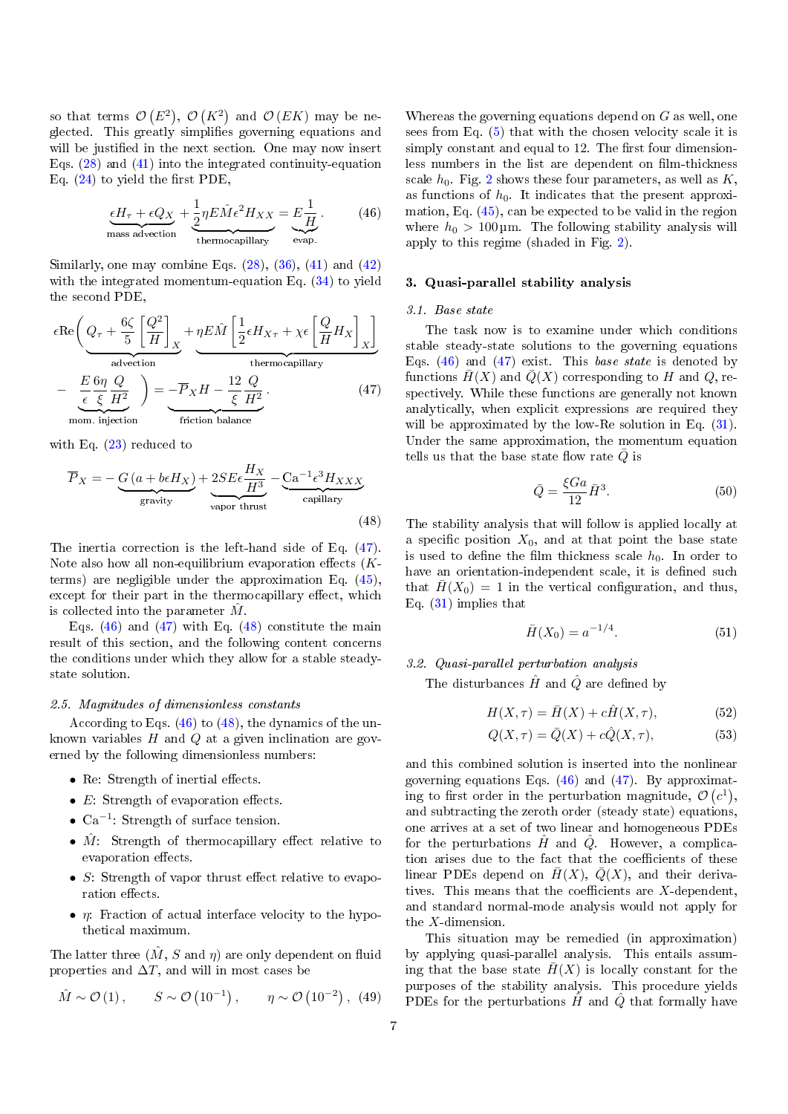so that terms  $\mathcal{O}(E^2)$ ,  $\mathcal{O}(K^2)$  and  $\mathcal{O}(EK)$  may be neglected. This greatly simplifies governing equations and will be justified in the next section. One may now insert Eqs. [\(28\)](#page-4-4) and [\(41\)](#page-5-2) into the integrated continuity-equation Eq.  $(24)$  to yield the first PDE,

$$
\underbrace{\epsilon H_{\tau} + \epsilon Q_X}_{\text{mass advection}} + \underbrace{\frac{1}{2} \eta E \hat{M} \epsilon^2 H_{XX}}_{\text{thermocapillary}} = \underbrace{E \frac{1}{H}}_{\text{evap.}}.
$$
 (46)

Similarly, one may combine Eqs.  $(28)$ ,  $(36)$ ,  $(41)$  and  $(42)$ with the integrated momentum-equation Eq. [\(34\)](#page-5-1) to yield the second PDE,

$$
\epsilon \text{Re}\left(Q_{\tau} + \frac{6\zeta}{5} \left[\frac{Q^2}{H}\right]_X + \underbrace{\eta E \hat{M} \left[\frac{1}{2} \epsilon H_{X\tau} + \chi \epsilon \left[\frac{Q}{H} H_X\right]_X\right]}_{\text{thermocapillary}}
$$
\n
$$
-\underbrace{\frac{E}{\epsilon} \frac{6\eta}{\xi} \frac{Q}{H^2}}_{\text{mom. injection}}\right) = -\overline{P}_X H - \frac{12}{\xi} \frac{Q}{H^2}.
$$
\n(47)

with Eq.  $(23)$  reduced to

$$
\overline{P}_X = -\underbrace{G\left(a + b\epsilon H_X\right)}_{\text{gravity}} + \underbrace{2SE\epsilon\frac{H_X}{H^3}}_{\text{vapor thrust}} - \underbrace{Ca^{-1}\epsilon^3 H_{XXX}}_{\text{capillary}} \tag{48}
$$

The inertia correction is the left-hand side of Eq. [\(47\)](#page-6-1). Note also how all non-equilibrium evaporation effects  $(K$ terms) are negligible under the approximation Eq. [\(45\)](#page-5-5), except for their part in the thermocapillary effect, which is collected into the parameter  $\tilde{M}$ .

Eqs.  $(46)$  and  $(47)$  with Eq.  $(48)$  constitute the main result of this section, and the following content concerns the conditions under which they allow for a stable steadystate solution.

### 2.5. Magnitudes of dimensionless constants

According to Eqs. [\(46\)](#page-6-2) to [\(48\)](#page-6-3), the dynamics of the unknown variables  $H$  and  $Q$  at a given inclination are governed by the following dimensionless numbers:

- $\bullet$  Re: Strength of inertial effects.
- $E$ : Strength of evaporation effects.
- $Ca^{-1}$ : Strength of surface tension.
- $\hat{M}$ : Strength of thermocapillary effect relative to evaporation effects.
- $S$ : Strength of vapor thrust effect relative to evaporation effects.
- $\eta$ : Fraction of actual interface velocity to the hypothetical maximum.

The latter three  $(\hat{M}, S \text{ and } \eta)$  are only dependent on fluid properties and  $\Delta T$ , and will in most cases be

$$
\hat{M} \sim \mathcal{O}(1), \qquad S \sim \mathcal{O}(10^{-1}), \qquad \eta \sim \mathcal{O}(10^{-2}),
$$
 (49)

Whereas the governing equations depend on  $G$  as well, one sees from Eq. [\(5\)](#page-2-5) that with the chosen velocity scale it is simply constant and equal to 12. The first four dimensionless numbers in the list are dependent on film-thickness scale  $h_0$ . Fig. [2](#page-7-0) shows these four parameters, as well as  $K$ , as functions of  $h_0$ . It indicates that the present approximation, Eq. [\(45\)](#page-5-5), can be expected to be valid in the region where  $h_0 > 100 \,\text{\mbox{\textmu}}$ . The following stability analysis will apply to this regime (shaded in Fig. [2\)](#page-7-0).

# <span id="page-6-2"></span><span id="page-6-0"></span>3. Quasi-parallel stability analysis

#### 3.1. Base state

<span id="page-6-1"></span>The task now is to examine under which conditions stable steady-state solutions to the governing equations Eqs.  $(46)$  and  $(47)$  exist. This base state is denoted by functions  $\overline{H}(X)$  and  $\overline{Q}(X)$  corresponding to H and Q, respectively. While these functions are generally not known analytically, when explicit expressions are required they will be approximated by the low-Re solution in Eq.  $(31)$ . Under the same approximation, the momentum equation tells us that the base state flow rate  $\overline{Q}$  is

$$
\bar{Q} = \frac{\xi G a}{12} \bar{H}^3. \tag{50}
$$

<span id="page-6-3"></span>The stability analysis that will follow is applied locally at a specific position  $X_0$ , and at that point the base state is used to define the film thickness scale  $h_0$ . In order to have an orientation-independent scale, it is defined such that  $\bar{H}(X_0) = 1$  in the vertical configuration, and thus, Eq. [\(31\)](#page-4-9) implies that

$$
\bar{H}(X_0) = a^{-1/4}.\tag{51}
$$

# <span id="page-6-4"></span>3.2. Quasi-parallel perturbation analysis

The disturbances  $\hat{H}$  and  $\hat{Q}$  are defined by

$$
H(X,\tau) = \bar{H}(X) + c\hat{H}(X,\tau),\tag{52}
$$

$$
Q(X,\tau) = \bar{Q}(X) + c\hat{Q}(X,\tau),\tag{53}
$$

and this combined solution is inserted into the nonlinear governing equations Eqs.  $(46)$  and  $(47)$ . By approximating to first order in the perturbation magnitude,  $\mathcal{O}(c^1)$ , and subtracting the zeroth order (steady state) equations, one arrives at a set of two linear and homogeneous PDEs for the perturbations  $H$  and  $Q$ . However, a complication arises due to the fact that the coefficients of these linear PDEs depend on  $\overline{H}(X)$ ,  $\overline{Q}(X)$ , and their derivatives. This means that the coefficients are  $X$ -dependent, and standard normal-mode analysis would not apply for the X-dimension.

This situation may be remedied (in approximation) by applying quasi-parallel analysis. This entails assuming that the base state  $\bar{H}(X)$  is locally constant for the purposes of the stability analysis. This procedure yields PDEs for the perturbations  $\hat{H}$  and  $\hat{Q}$  that formally have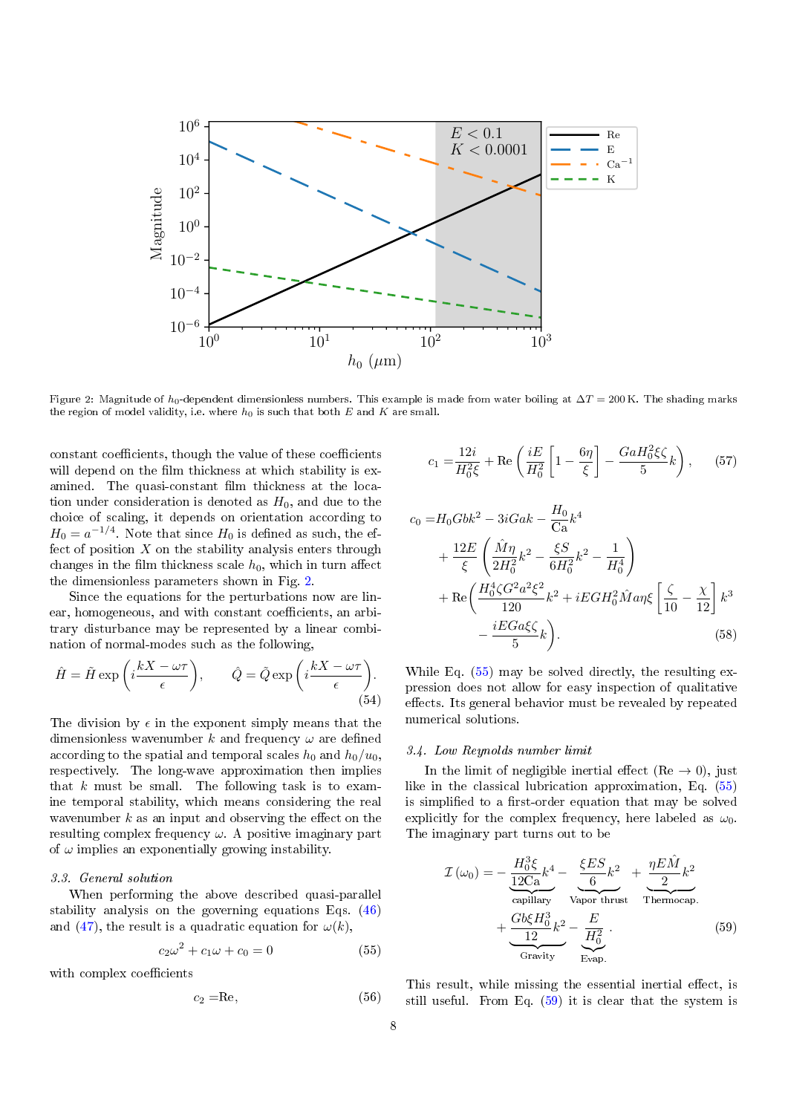<span id="page-7-0"></span>

Figure 2: Magnitude of  $h_0$ -dependent dimensionless numbers. This example is made from water boiling at  $\Delta T = 200$  K. The shading marks the region of model validity, i.e. where  $h_0$  is such that both  $E$  and  $K$  are small.

constant coefficients, though the value of these coefficients will depend on the film thickness at which stability is examined. The quasi-constant film thickness at the location under consideration is denoted as  $H_0$ , and due to the choice of scaling, it depends on orientation according to  $H_0 = a^{-1/4}$ . Note that since  $H_0$  is defined as such, the effect of position  $X$  on the stability analysis enters through changes in the film thickness scale  $h_0$ , which in turn affect the dimensionless parameters shown in Fig. [2.](#page-7-0)

Since the equations for the perturbations now are linear, homogeneous, and with constant coefficients, an arbitrary disturbance may be represented by a linear combination of normal-modes such as the following,

$$
\hat{H} = \tilde{H} \exp\left(i\frac{kX - \omega\tau}{\epsilon}\right), \qquad \hat{Q} = \tilde{Q} \exp\left(i\frac{kX - \omega\tau}{\epsilon}\right).
$$
\n(54)

The division by  $\epsilon$  in the exponent simply means that the dimensionless wavenumber k and frequency  $\omega$  are defined according to the spatial and temporal scales  $h_0$  and  $h_0/u_0$ , respectively. The long-wave approximation then implies that  $k$  must be small. The following task is to examine temporal stability, which means considering the real wavenumber  $k$  as an input and observing the effect on the resulting complex frequency  $\omega$ . A positive imaginary part of  $\omega$  implies an exponentially growing instability.

### <span id="page-7-3"></span>3.3. General solution

When performing the above described quasi-parallel stability analysis on the governing equations Eqs. [\(46\)](#page-6-2) and [\(47\)](#page-6-1), the result is a quadratic equation for  $\omega(k)$ ,

$$
c_2\omega^2 + c_1\omega + c_0 = 0 \tag{55}
$$

with complex coefficients

$$
c_2 = \mathrm{Re},\tag{56}
$$

$$
c_1 = \frac{12i}{H_0^2 \xi} + \text{Re}\left(\frac{iE}{H_0^2} \left[1 - \frac{6\eta}{\xi}\right] - \frac{GaH_0^2 \xi \zeta}{5} k\right), \quad (57)
$$

$$
c_0 = H_0 G b k^2 - 3i G a k - \frac{H_0}{C a} k^4
$$
  
+ 
$$
\frac{12E}{\xi} \left( \frac{\hat{M} \eta}{2H_0^2} k^2 - \frac{\xi S}{6H_0^2} k^2 - \frac{1}{H_0^4} \right)
$$
  
+ 
$$
Re \left( \frac{H_0^4 \zeta G^2 a^2 \xi^2}{120} k^2 + i E G H_0^2 \hat{M} a \eta \xi \left[ \frac{\zeta}{10} - \frac{\chi}{12} \right] k^3 - \frac{i E G a \xi \zeta}{5} k \right).
$$
 (58)

While Eq.  $(55)$  may be solved directly, the resulting expression does not allow for easy inspection of qualitative effects. Its general behavior must be revealed by repeated numerical solutions.

#### <span id="page-7-4"></span>3.4. Low Reynolds number limit

In the limit of negligible inertial effect (Re  $\rightarrow$  0), just like in the classical lubrication approximation, Eq. [\(55\)](#page-7-1) is simplified to a first-order equation that may be solved explicitly for the complex frequency, here labeled as  $\omega_0$ . The imaginary part turns out to be

<span id="page-7-2"></span>
$$
\mathcal{I}(\omega_0) = -\underbrace{\frac{H_0^3 \xi}{12Ca} k^4}_{\text{capillary}} - \underbrace{\frac{\xi ES}{6} k^2}_{\text{Vapor thrust}} + \underbrace{\frac{\eta E \hat{M}}{2} k^2}_{\text{Thermocap.}} + \underbrace{\frac{G b \xi H_0^3}{12} k^2}_{\text{Gravity}} - \underbrace{\frac{E}{H_0^2}}_{\text{Evap.}}.
$$
\n(59)

<span id="page-7-1"></span>This result, while missing the essential inertial effect, is still useful. From Eq. [\(59\)](#page-7-2) it is clear that the system is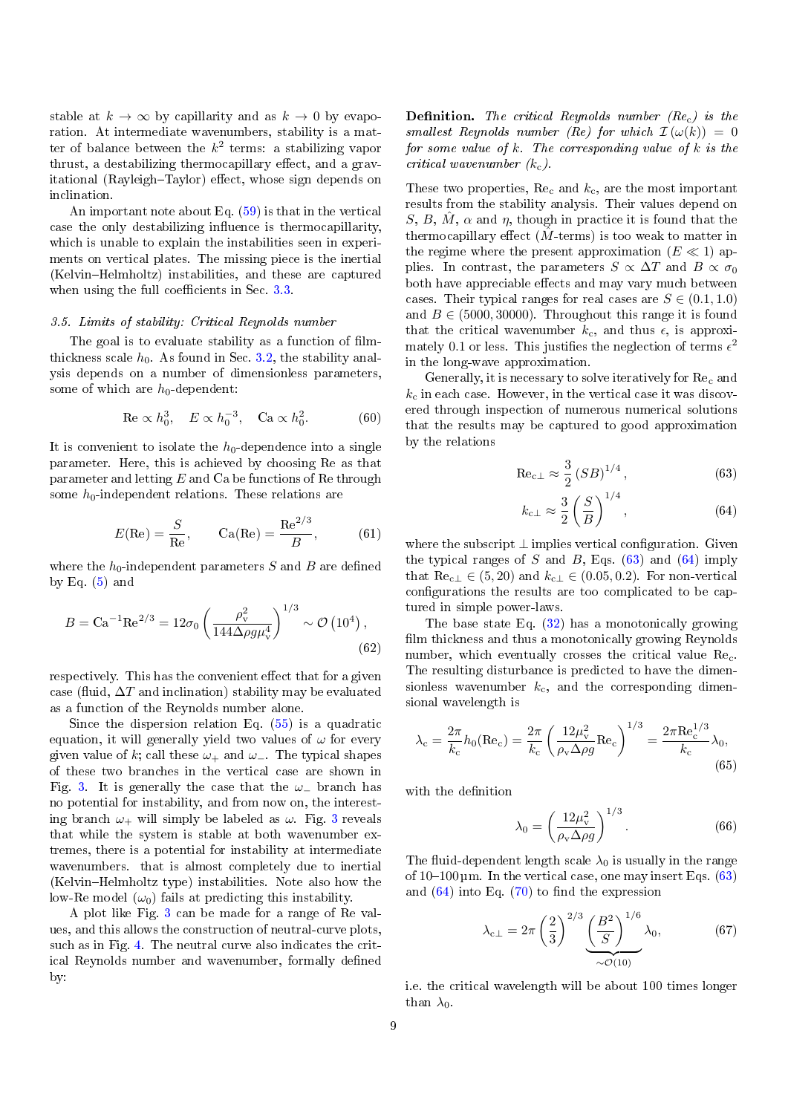stable at  $k \to \infty$  by capillarity and as  $k \to 0$  by evaporation. At intermediate wavenumbers, stability is a matter of balance between the  $k^2$  terms: a stabilizing vapor thrust, a destabilizing thermocapillary effect, and a gravitational (Rayleigh-Taylor) effect, whose sign depends on inclination.

An important note about Eq. [\(59\)](#page-7-2) is that in the vertical case the only destabilizing influence is thermocapillarity. which is unable to explain the instabilities seen in experiments on vertical plates. The missing piece is the inertial (Kelvin-Helmholtz) instabilities, and these are captured when using the full coefficients in Sec. [3.3.](#page-7-3)

#### <span id="page-8-3"></span>3.5. Limits of stability: Critical Reynolds number

The goal is to evaluate stability as a function of filmthickness scale  $h_0$ . As found in Sec. [3.2,](#page-6-4) the stability analysis depends on a number of dimensionless parameters, some of which are  $h_0$ -dependent:

Re 
$$
\propto h_0^3
$$
,  $E \propto h_0^{-3}$ , Ca  $\propto h_0^2$ . (60)

It is convenient to isolate the  $h_0$ -dependence into a single parameter. Here, this is achieved by choosing Re as that parameter and letting  $E$  and  $Ca$  be functions of Re through some  $h_0$ -independent relations. These relations are

$$
E(\text{Re}) = \frac{S}{\text{Re}}, \qquad \text{Ca}(\text{Re}) = \frac{\text{Re}^{2/3}}{B}, \tag{61}
$$

where the  $h_0$ -independent parameters S and B are defined by Eq.  $(5)$  and

$$
B = \text{Ca}^{-1}\text{Re}^{2/3} = 12\sigma_0 \left(\frac{\rho_v^2}{144\Delta\rho g \mu_v^4}\right)^{1/3} \sim \mathcal{O}\left(10^4\right),\tag{62}
$$

respectively. This has the convenient effect that for a given case (fluid,  $\Delta T$  and inclination) stability may be evaluated as a function of the Reynolds number alone.

Since the dispersion relation Eq. [\(55\)](#page-7-1) is a quadratic equation, it will generally yield two values of  $\omega$  for every given value of k; call these  $\omega_+$  and  $\omega_-$ . The typical shapes of these two branches in the vertical case are shown in Fig. [3.](#page-9-0) It is generally the case that the  $\omega_-$  branch has no potential for instability, and from now on, the interesting branch  $\omega_+$  will simply be labeled as  $\omega$ . Fig. [3](#page-9-0) reveals that while the system is stable at both wavenumber extremes, there is a potential for instability at intermediate wavenumbers. that is almost completely due to inertial (Kelvin-Helmholtz type) instabilities. Note also how the low-Re model  $(\omega_0)$  fails at predicting this instability.

A plot like Fig. [3](#page-9-0) can be made for a range of Re values, and this allows the construction of neutral-curve plots, such as in Fig. [4.](#page-9-1) The neutral curve also indicates the critical Reynolds number and wavenumber, formally defined by:

**Definition.** The critical Reynolds number  $(Re_c)$  is the smallest Reynolds number (Re) for which  $\mathcal{I}(\omega(k)) = 0$ for some value of  $k$ . The corresponding value of  $k$  is the critical wavenumber  $(k_c)$ .

These two properties,  $\text{Re}_c$  and  $k_c$ , are the most important results from the stability analysis. Their values depend on S, B,  $\hat{M}$ ,  $\alpha$  and  $\eta$ , though in practice it is found that the thermocapillary effect  $(M$ -terms) is too weak to matter in the regime where the present approximation  $(E \ll 1)$  applies. In contrast, the parameters  $S \propto \Delta T$  and  $B \propto \sigma_0$ both have appreciable effects and may vary much between cases. Their typical ranges for real cases are  $S \in (0.1, 1.0)$ and  $B \in (5000, 30000)$ . Throughout this range it is found that the critical wavenumber  $k_c$ , and thus  $\epsilon$ , is approximately 0.1 or less. This justifies the neglection of terms  $\epsilon^2$ in the long-wave approximation.

Generally, it is necessary to solve iteratively for Rec and  $k_c$  in each case. However, in the vertical case it was discovered through inspection of numerous numerical solutions that the results may be captured to good approximation by the relations

$$
\text{Re}_{c\perp} \approx \frac{3}{2} \left( SB \right)^{1/4},\tag{63}
$$

<span id="page-8-1"></span><span id="page-8-0"></span>
$$
k_{\rm c\perp} \approx \frac{3}{2} \left( \frac{S}{B} \right)^{1/4},\tag{64}
$$

where the subscript  $\perp$  implies vertical configuration. Given the typical ranges of S and B, Eqs.  $(63)$  and  $(64)$  imply that  $\text{Re}_{c\perp} \in (5, 20)$  and  $k_{c\perp} \in (0.05, 0.2)$ . For non-vertical configurations the results are too complicated to be captured in simple power-laws.

<span id="page-8-5"></span>The base state Eq.  $(32)$  has a monotonically growing film thickness and thus a monotonically growing Reynolds number, which eventually crosses the critical value Re<sub>c</sub>. The resulting disturbance is predicted to have the dimensionless wavenumber  $k_c$ , and the corresponding dimensional wavelength is

$$
\lambda_{\rm c} = \frac{2\pi}{k_{\rm c}} h_0(\text{Re}_{\rm c}) = \frac{2\pi}{k_{\rm c}} \left(\frac{12\mu_{\rm v}^2}{\rho_{\rm v}\Delta\rho g} \text{Re}_{\rm c}\right)^{1/3} = \frac{2\pi \text{Re}_{\rm c}^{1/3}}{k_{\rm c}} \lambda_0,
$$
\n(65)

with the definition

<span id="page-8-4"></span><span id="page-8-2"></span>
$$
\lambda_0 = \left(\frac{12\mu_v^2}{\rho_v \Delta \rho g}\right)^{1/3}.\tag{66}
$$

The fluid-dependent length scale  $\lambda_0$  is usually in the range of  $10-100 \mu m$ . In the vertical case, one may insert Eqs. [\(63\)](#page-8-0) and  $(64)$  into Eq.  $(70)$  to find the expression

$$
\lambda_{\rm c\perp} = 2\pi \left(\frac{2}{3}\right)^{2/3} \underbrace{\left(\frac{B^2}{S}\right)^{1/6}}_{\sim \mathcal{O}(10)} \lambda_0, \tag{67}
$$

i.e. the critical wavelength will be about 100 times longer than  $\lambda_0$ .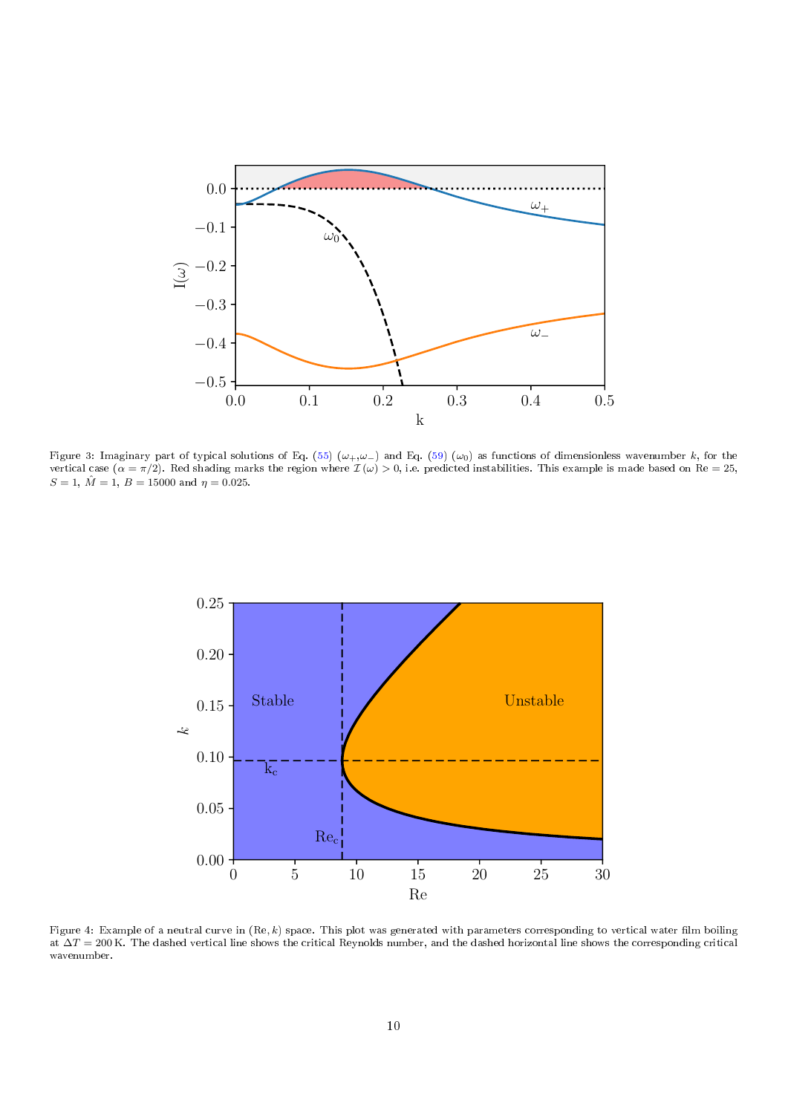<span id="page-9-0"></span>

Figure 3: Imaginary part of typical solutions of Eq. [\(55\)](#page-7-1) ( $\omega_+, \omega_-$ ) and Eq. [\(59\)](#page-7-2) ( $\omega_0$ ) as functions of dimensionless wavenumber k, for the vertical case  $(\alpha = \pi/2)$ . Red shading marks the region where  $\mathcal{I}(\omega) > 0$ , i.e. predicted instabilities. This example is made based on Re = 25,  $S = 1, \hat{M} = 1, B = 15000$  and  $\eta = 0.025$ .

<span id="page-9-1"></span>

Figure 4: Example of a neutral curve in  $(Re, k)$  space. This plot was generated with parameters corresponding to vertical water film boiling at  $\Delta T = 200$  K. The dashed vertical line shows the critical Reynolds number, and the dashed horizontal line shows the corresponding critical wavenumber.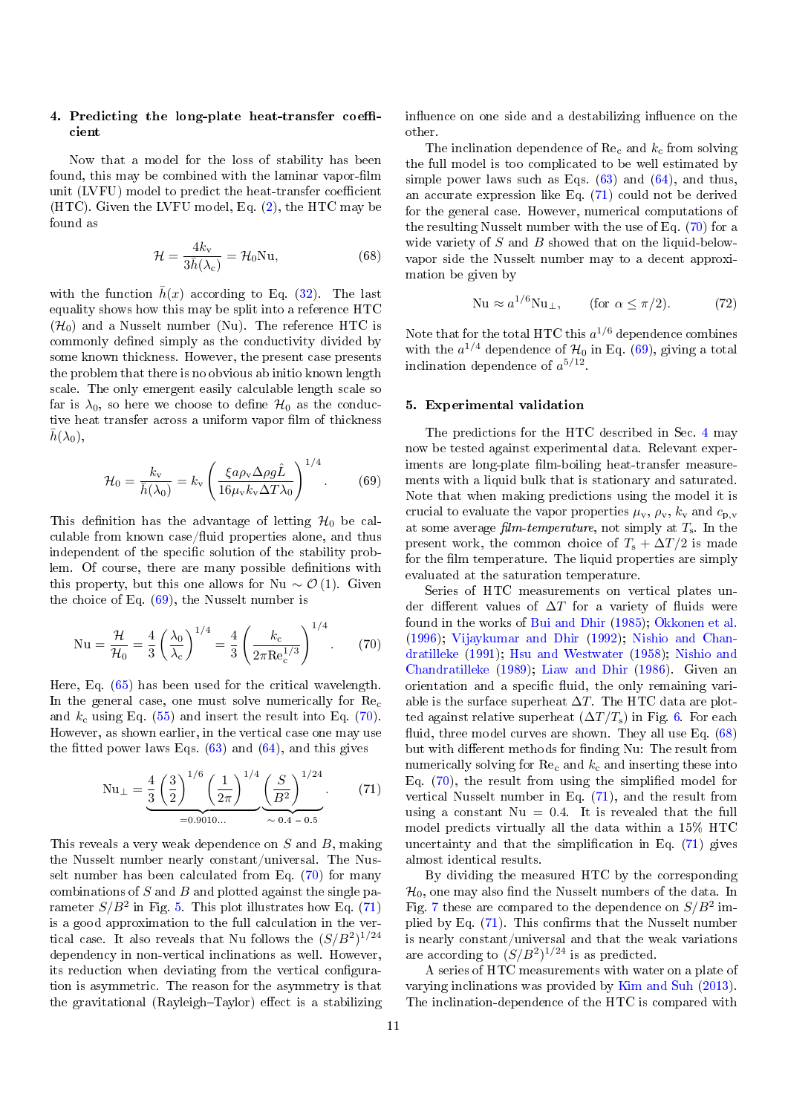# <span id="page-10-0"></span>4. Predicting the long-plate heat-transfer coefficient

Now that a model for the loss of stability has been found, this may be combined with the laminar vapor-film unit (LVFU) model to predict the heat-transfer coefficient (HTC). Given the LVFU model, Eq.  $(2)$ , the HTC may be found as

$$
\mathcal{H} = \frac{4k_{\rm v}}{3\bar{h}(\lambda_{\rm c})} = \mathcal{H}_0 \text{Nu},\tag{68}
$$

with the function  $h(x)$  according to Eq. [\(32\)](#page-4-7). The last equality shows how this may be split into a reference HTC  $(\mathcal{H}_0)$  and a Nusselt number (Nu). The reference HTC is commonly defined simply as the conductivity divided by some known thickness. However, the present case presents the problem that there is no obvious ab initio known length scale. The only emergent easily calculable length scale so far is  $\lambda_0$ , so here we choose to define  $\mathcal{H}_0$  as the conductive heat transfer across a uniform vapor film of thickness  $h(\lambda_0)$ ,

$$
\mathcal{H}_0 = \frac{k_v}{\bar{h}(\lambda_0)} = k_v \left( \frac{\xi a \rho_v \Delta \rho g \hat{L}}{16 \mu_v k_v \Delta T \lambda_0} \right)^{1/4}.
$$
 (69)

This definition has the advantage of letting  $\mathcal{H}_0$  be calculable from known case/fluid properties alone, and thus independent of the specific solution of the stability problem. Of course, there are many possible definitions with this property, but this one allows for Nu  $\sim \mathcal{O}(1)$ . Given the choice of Eq.  $(69)$ , the Nusselt number is

$$
Nu = \frac{\mathcal{H}}{\mathcal{H}_0} = \frac{4}{3} \left(\frac{\lambda_0}{\lambda_c}\right)^{1/4} = \frac{4}{3} \left(\frac{k_c}{2\pi \text{Re}_c^{1/3}}\right)^{1/4}.
$$
 (70)

Here, Eq. [\(65\)](#page-8-2) has been used for the critical wavelength. In the general case, one must solve numerically for  $\text{Re}_c$ and  $k_c$  using Eq. [\(55\)](#page-7-1) and insert the result into Eq. [\(70\)](#page-10-2). However, as shown earlier, in the vertical case one may use the fitted power laws Eqs.  $(63)$  and  $(64)$ , and this gives

$$
\text{Nu}_{\perp} = \underbrace{\frac{4}{3} \left(\frac{3}{2}\right)^{1/6} \left(\frac{1}{2\pi}\right)^{1/4} \left(\frac{S}{B^2}\right)^{1/24}}_{=0.9010\dots}.
$$
 (71)

This reveals a very weak dependence on S and B, making the Nusselt number nearly constant/universal. The Nusselt number has been calculated from Eq. [\(70\)](#page-10-2) for many combinations of  $S$  and  $B$  and plotted against the single parameter  $S/B^2$  in Fig. [5.](#page-11-0) This plot illustrates how Eq. [\(71\)](#page-10-4) is a good approximation to the full calculation in the vertical case. It also reveals that Nu follows the  $(S/B^2)^{1/24}$ dependency in non-vertical inclinations as well. However, its reduction when deviating from the vertical configuration is asymmetric. The reason for the asymmetry is that the gravitational (Rayleigh-Taylor) effect is a stabilizing

influence on one side and a destabilizing influence on the other.

The inclination dependence of  $\text{Re}_c$  and  $k_c$  from solving the full model is too complicated to be well estimated by simple power laws such as Eqs.  $(63)$  and  $(64)$ , and thus, an accurate expression like Eq. [\(71\)](#page-10-4) could not be derived for the general case. However, numerical computations of the resulting Nusselt number with the use of Eq. [\(70\)](#page-10-2) for a wide variety of  $S$  and  $B$  showed that on the liquid-belowvapor side the Nusselt number may to a decent approximation be given by

<span id="page-10-6"></span>
$$
\text{Nu} \approx a^{1/6} \text{Nu}_{\perp}, \qquad \text{(for } \alpha \le \pi/2. \tag{72}
$$

<span id="page-10-5"></span>Note that for the total HTC this  $a^{1/6}$  dependence combines with the  $a^{1/4}$  dependence of  $\mathcal{H}_0$  in Eq. [\(69\)](#page-10-3), giving a total inclination dependence of  $a^{5/12}$ .

#### <span id="page-10-1"></span>5. Experimental validation

<span id="page-10-3"></span>The predictions for the HTC described in Sec. [4](#page-10-0) may now be tested against experimental data. Relevant experiments are long-plate film-boiling heat-transfer measurements with a liquid bulk that is stationary and saturated. Note that when making predictions using the model it is crucial to evaluate the vapor properties  $\mu_{\mathbf{v}}, \rho_{\mathbf{v}}, k_{\mathbf{v}}$  and  $c_{\mathbf{p},\mathbf{v}}$ at some average film-temperature, not simply at  $T_s$ . In the present work, the common choice of  $T_s + \Delta T/2$  is made for the film temperature. The liquid properties are simply evaluated at the saturation temperature.

<span id="page-10-2"></span>Series of HTC measurements on vertical plates under different values of  $\Delta T$  for a variety of fluids were found in the works of [Bui and Dhir](#page-14-5) [\(1985\)](#page-14-5); [Okkonen et al.](#page-15-10) [\(1996\)](#page-15-10); [Vijaykumar and Dhir](#page-15-4) [\(1992\)](#page-15-4); [Nishio and Chan](#page-15-2)[dratilleke](#page-15-2) [\(1991\)](#page-15-2); [Hsu and Westwater](#page-14-4) [\(1958\)](#page-14-4); [Nishio and](#page-15-11) [Chandratilleke](#page-15-11) [\(1989\)](#page-15-11); [Liaw and Dhir](#page-14-17) [\(1986\)](#page-14-17). Given an orientation and a specific fluid, the only remaining variable is the surface superheat  $\Delta T$ . The HTC data are plotted against relative superheat  $(\Delta T/T_s)$  in Fig. [6.](#page-11-1) For each fluid, three model curves are shown. They all use Eq.  $(68)$ but with different methods for finding Nu: The result from numerically solving for  $\text{Re}_c$  and  $k_c$  and inserting these into Eq.  $(70)$ , the result from using the simplified model for vertical Nusselt number in Eq. [\(71\)](#page-10-4), and the result from using a constant  $Nu = 0.4$ . It is revealed that the full model predicts virtually all the data within a 15% HTC uncertainty and that the simplification in Eq.  $(71)$  gives almost identical results.

<span id="page-10-4"></span>By dividing the measured HTC by the corresponding  $\mathcal{H}_0$ , one may also find the Nusselt numbers of the data. In Fig. [7](#page-12-1) these are compared to the dependence on  $S/B^2$  implied by Eq.  $(71)$ . This confirms that the Nusselt number is nearly constant/universal and that the weak variations are according to  $(S/B^2)^{1/24}$  is as predicted.

A series of HTC measurements with water on a plate of varying inclinations was provided by [Kim and Suh](#page-14-6) [\(2013\)](#page-14-6). The inclination-dependence of the HTC is compared with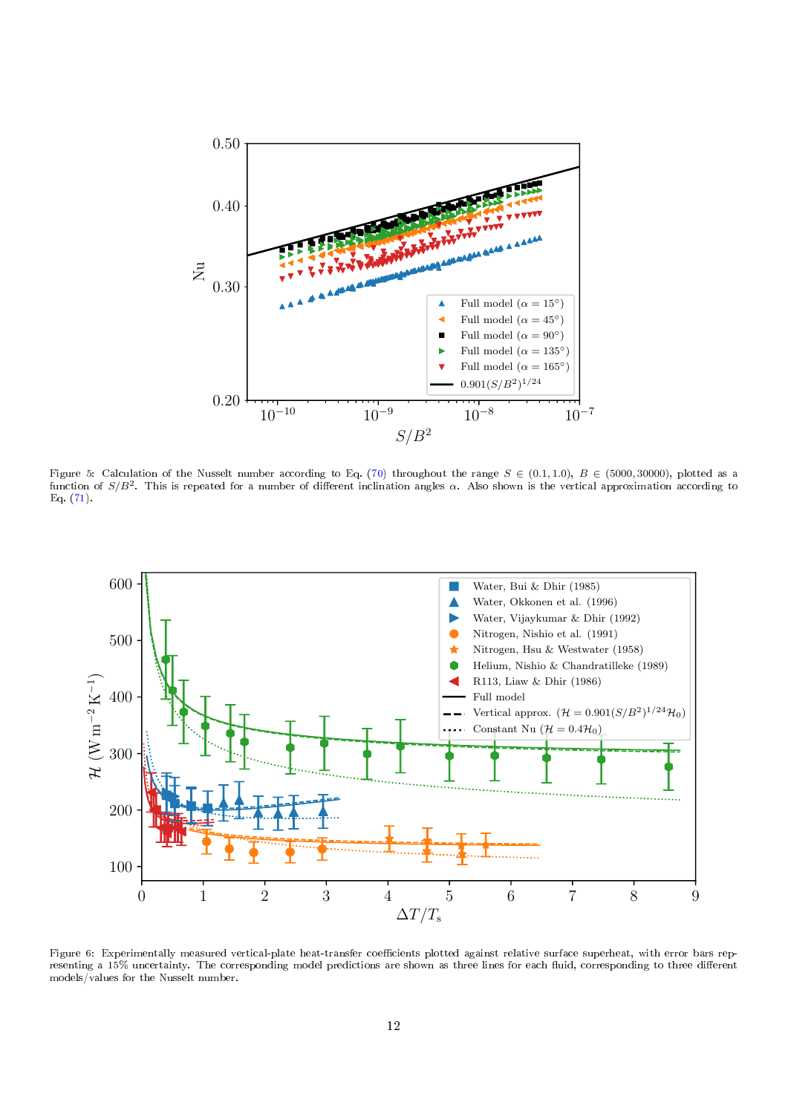<span id="page-11-0"></span>

Figure 5: Calculation of the Nusselt number according to Eq. [\(70\)](#page-10-2) throughout the range  $S \in (0.1, 1.0)$ ,  $B \in (5000, 30000)$ , plotted as a function of  $S/B^2$ . This is repeated for a number of different inclination angles  $\alpha$ . Also shown is the vertical approximation according to Eq. [\(71\)](#page-10-4).

<span id="page-11-1"></span>

Figure 6: Experimentally measured vertical-plate heat-transfer coefficients plotted against relative surface superheat, with error bars representing a 15% uncertainty. The corresponding model predictions are shown as three lines for each fluid, corresponding to three different models/values for the Nusselt number.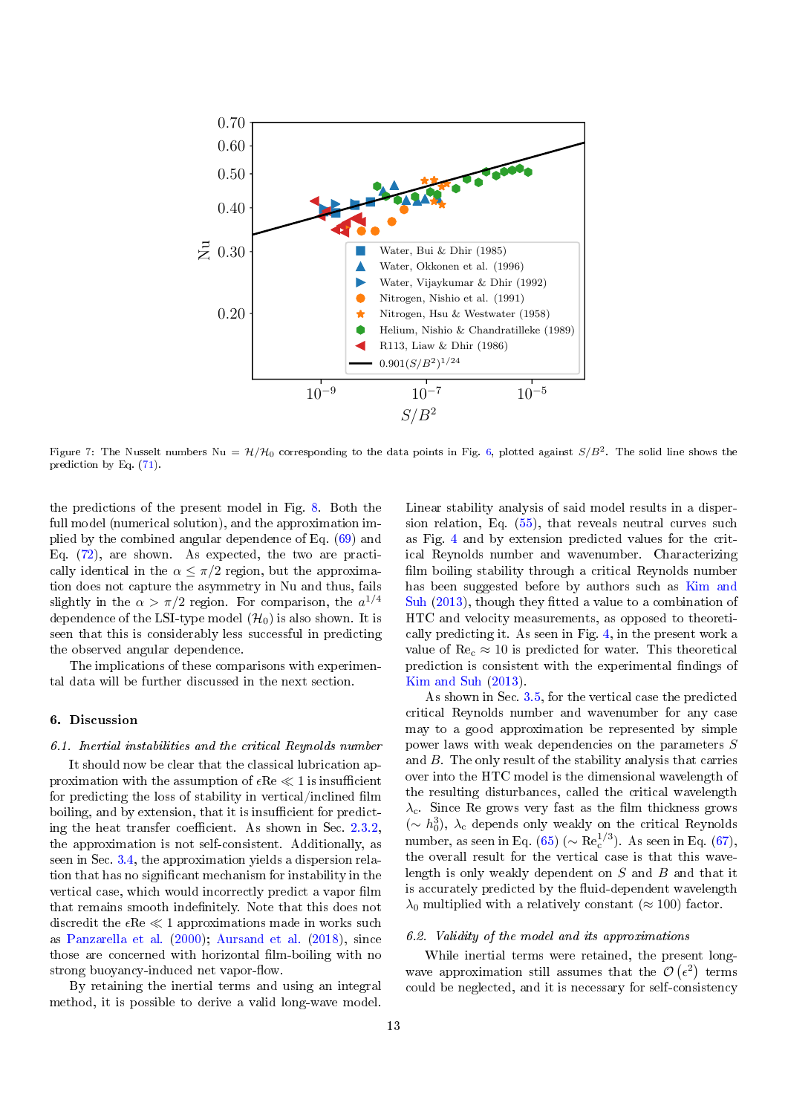<span id="page-12-1"></span>

Figure 7: The Nusselt numbers Nu =  $\mathcal{H}/\mathcal{H}_0$  corresponding to the data points in Fig. [6,](#page-11-1) plotted against  $S/B^2$ . The solid line shows the prediction by Eq. [\(71\)](#page-10-4).

the predictions of the present model in Fig. [8.](#page-13-0) Both the full model (numerical solution), and the approximation implied by the combined angular dependence of Eq. [\(69\)](#page-10-3) and Eq. [\(72\)](#page-10-6), are shown. As expected, the two are practically identical in the  $\alpha \leq \pi/2$  region, but the approximation does not capture the asymmetry in Nu and thus, fails slightly in the  $\alpha > \pi/2$  region. For comparison, the  $a^{1/4}$ dependence of the LSI-type model  $(\mathcal{H}_0)$  is also shown. It is seen that this is considerably less successful in predicting the observed angular dependence.

The implications of these comparisons with experimental data will be further discussed in the next section.

## <span id="page-12-0"></span>6. Discussion

#### 6.1. Inertial instabilities and the critical Reynolds number

It should now be clear that the classical lubrication approximation with the assumption of  $\epsilon Re \ll 1$  is insufficient for predicting the loss of stability in vertical/inclined film boiling, and by extension, that it is insufficient for predicting the heat transfer coefficient. As shown in Sec.  $2.3.2$ . the approximation is not self-consistent. Additionally, as seen in Sec. [3.4,](#page-7-4) the approximation yields a dispersion relation that has no signicant mechanism for instability in the vertical case, which would incorrectly predict a vapor film that remains smooth indefinitely. Note that this does not discredit the  $\epsilon Re \ll 1$  approximations made in works such as [Panzarella et al.](#page-15-6) [\(2000\)](#page-15-6); [Aursand et al.](#page-14-11) [\(2018\)](#page-14-11), since those are concerned with horizontal film-boiling with no strong buoyancy-induced net vapor-flow.

By retaining the inertial terms and using an integral method, it is possible to derive a valid long-wave model. Linear stability analysis of said model results in a dispersion relation, Eq. [\(55\)](#page-7-1), that reveals neutral curves such as Fig. [4](#page-9-1) and by extension predicted values for the critical Reynolds number and wavenumber. Characterizing film boiling stability through a critical Reynolds number has been suggested before by authors such as [Kim and](#page-14-6) [Suh](#page-14-6) [\(2013\)](#page-14-6), though they fitted a value to a combination of HTC and velocity measurements, as opposed to theoretically predicting it. As seen in Fig. [4,](#page-9-1) in the present work a value of  $\text{Re}_c \approx 10$  is predicted for water. This theoretical prediction is consistent with the experimental findings of [Kim and Suh](#page-14-6) [\(2013\)](#page-14-6).

As shown in Sec. [3.5,](#page-8-3) for the vertical case the predicted critical Reynolds number and wavenumber for any case may to a good approximation be represented by simple power laws with weak dependencies on the parameters S and B. The only result of the stability analysis that carries over into the HTC model is the dimensional wavelength of the resulting disturbances, called the critical wavelength  $\lambda_c$ . Since Re grows very fast as the film thickness grows (∼ h 3 0 ), λ<sup>c</sup> depends only weakly on the critical Reynolds number, as seen in Eq. [\(65\)](#page-8-2) ( $\sim$  Re<sup>1/3</sup>). As seen in Eq. [\(67\)](#page-8-4), the overall result for the vertical case is that this wavelength is only weakly dependent on  $S$  and  $B$  and that it is accurately predicted by the fluid-dependent wavelength  $\lambda_0$  multiplied with a relatively constant ( $\approx 100$ ) factor.

#### 6.2. Validity of the model and its approximations

While inertial terms were retained, the present longwave approximation still assumes that the  $\mathcal{O}(\epsilon^2)$  terms could be neglected, and it is necessary for self-consistency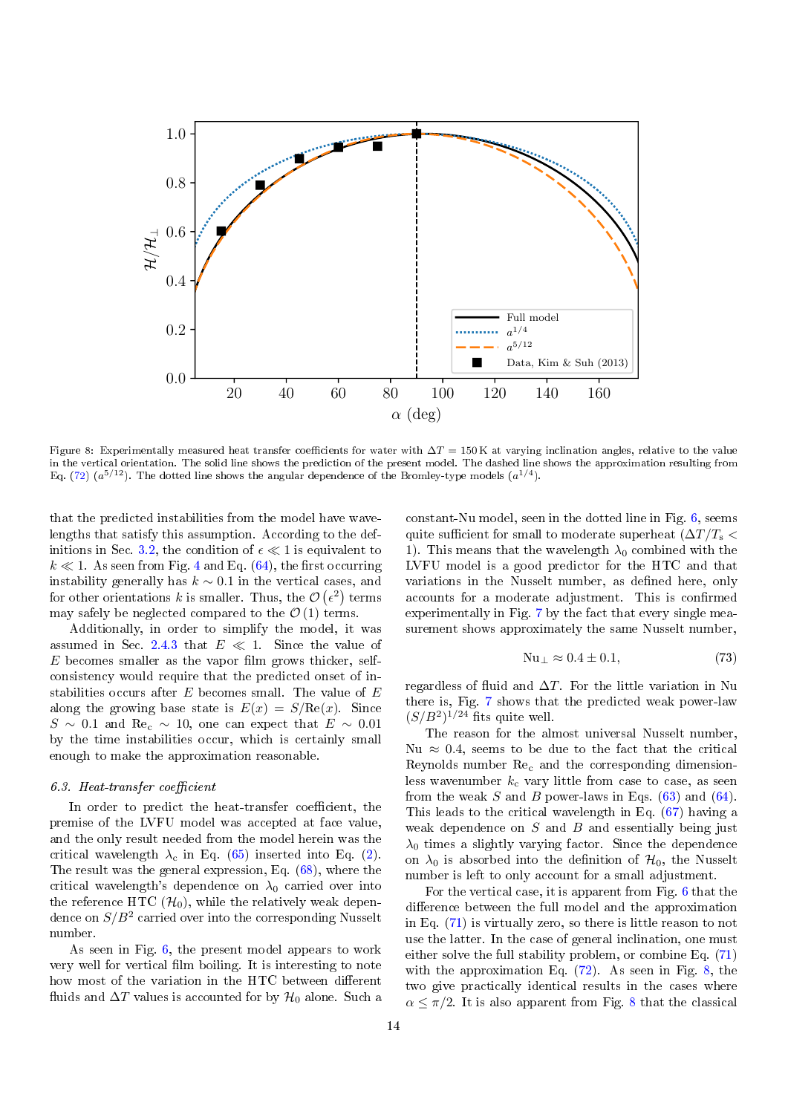<span id="page-13-0"></span>

Figure 8: Experimentally measured heat transfer coefficients for water with  $\Delta T = 150$  K at varying inclination angles, relative to the value in the vertical orientation. The solid line shows the prediction of the present model. The dashed line shows the approximation resulting from Eq. [\(72\)](#page-10-6)  $(a^{5/12})$ . The dotted line shows the angular dependence of the Bromley-type models  $(a^{1/4})$ .

that the predicted instabilities from the model have wavelengths that satisfy this assumption. According to the def-initions in Sec. [3.2,](#page-6-4) the condition of  $\epsilon \ll 1$  is equivalent to  $k \ll 1$ . As seen from Fig. [4](#page-9-1) and Eq. [\(64\)](#page-8-1), the first occurring instability generally has  $k \sim 0.1$  in the vertical cases, and for other orientations k is smaller. Thus, the  $\mathcal{O}(\epsilon^2)$  terms may safely be neglected compared to the  $\mathcal{O}(1)$  terms.

Additionally, in order to simplify the model, it was assumed in Sec. [2.4.3](#page-5-6) that  $E \ll 1$ . Since the value of  $E$  becomes smaller as the vapor film grows thicker, selfconsistency would require that the predicted onset of instabilities occurs after  $E$  becomes small. The value of  $E$ along the growing base state is  $E(x) = S/Re(x)$ . Since  $S \sim 0.1$  and Re<sub>c</sub> ~ 10, one can expect that  $E \sim 0.01$ by the time instabilities occur, which is certainly small enough to make the approximation reasonable.

### $6.3.$  Heat-transfer coefficient

In order to predict the heat-transfer coefficient, the premise of the LVFU model was accepted at face value, and the only result needed from the model herein was the critical wavelength  $\lambda_c$  in Eq. [\(65\)](#page-8-2) inserted into Eq. [\(2\)](#page-0-1). The result was the general expression, Eq. [\(68\)](#page-10-5), where the critical wavelength's dependence on  $\lambda_0$  carried over into the reference HTC  $(\mathcal{H}_0)$ , while the relatively weak dependence on  $S/B^2$  carried over into the corresponding Nusselt number.

As seen in Fig. [6,](#page-11-1) the present model appears to work very well for vertical film boiling. It is interesting to note how most of the variation in the HTC between different fluids and  $\Delta T$  values is accounted for by  $\mathcal{H}_0$  alone. Such a constant-Nu model, seen in the dotted line in Fig. [6,](#page-11-1) seems quite sufficient for small to moderate superheat  $(\Delta T/T_s \leq$ 1). This means that the wavelength  $\lambda_0$  combined with the LVFU model is a good predictor for the HTC and that variations in the Nusselt number, as defined here, only accounts for a moderate adjustment. This is confirmed experimentally in Fig. [7](#page-12-1) by the fact that every single measurement shows approximately the same Nusselt number,

$$
Nu_{\perp} \approx 0.4 \pm 0.1,\tag{73}
$$

regardless of fluid and  $\Delta T$ . For the little variation in Nu there is, Fig. [7](#page-12-1) shows that the predicted weak power-law  $(S/B<sup>2</sup>)<sup>1/24</sup>$  fits quite well.

The reason for the almost universal Nusselt number, Nu  $\approx$  0.4, seems to be due to the fact that the critical Reynolds number  $\text{Re}_c$  and the corresponding dimensionless wavenumber  $k_c$  vary little from case to case, as seen from the weak S and B power-laws in Eqs.  $(63)$  and  $(64)$ . This leads to the critical wavelength in Eq. [\(67\)](#page-8-4) having a weak dependence on  $S$  and  $B$  and essentially being just  $\lambda_0$  times a slightly varying factor. Since the dependence on  $\lambda_0$  is absorbed into the definition of  $\mathcal{H}_0$ , the Nusselt number is left to only account for a small adjustment.

For the vertical case, it is apparent from Fig. [6](#page-11-1) that the difference between the full model and the approximation in Eq. [\(71\)](#page-10-4) is virtually zero, so there is little reason to not use the latter. In the case of general inclination, one must either solve the full stability problem, or combine Eq. [\(71\)](#page-10-4) with the approximation Eq. [\(72\)](#page-10-6). As seen in Fig. [8,](#page-13-0) the two give practically identical results in the cases where  $\alpha \leq \pi/2$ . It is also apparent from Fig. [8](#page-13-0) that the classical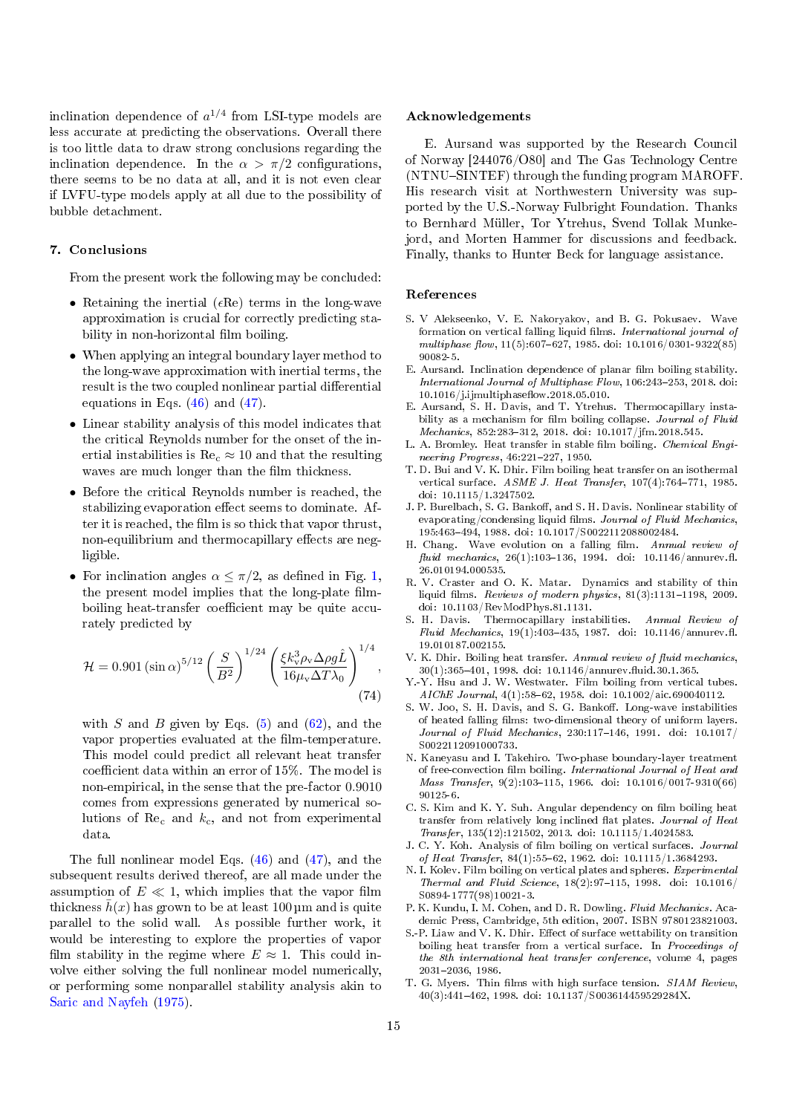inclination dependence of  $a^{1/4}$  from LSI-type models are less accurate at predicting the observations. Overall there is too little data to draw strong conclusions regarding the inclination dependence. In the  $\alpha > \pi/2$  configurations, there seems to be no data at all, and it is not even clear if LVFU-type models apply at all due to the possibility of bubble detachment.

### <span id="page-14-16"></span>7. Conclusions

From the present work the following may be concluded:

- Retaining the inertial ( $\epsilon$ Re) terms in the long-wave approximation is crucial for correctly predicting stability in non-horizontal film boiling.
- When applying an integral boundary layer method to the long-wave approximation with inertial terms, the result is the two coupled nonlinear partial differential equations in Eqs. [\(46\)](#page-6-2) and [\(47\)](#page-6-1).
- Linear stability analysis of this model indicates that the critical Reynolds number for the onset of the inertial instabilities is  $\text{Re}_c \approx 10$  and that the resulting waves are much longer than the film thickness.
- Before the critical Reynolds number is reached, the stabilizing evaporation effect seems to dominate. After it is reached, the film is so thick that vapor thrust. non-equilibrium and thermocapillary effects are negligible.
- For inclination angles  $\alpha \leq \pi/2$ , as defined in Fig. [1,](#page-2-0) the present model implies that the long-plate filmboiling heat-transfer coefficient may be quite accurately predicted by

$$
\mathcal{H} = 0.901 \left(\sin \alpha\right)^{5/12} \left(\frac{S}{B^2}\right)^{1/24} \left(\frac{\xi k_v^3 \rho_v \Delta \rho g \hat{L}}{16 \mu_v \Delta T \lambda_0}\right)^{1/4},\tag{74}
$$

with S and B given by Eqs.  $(5)$  and  $(62)$ , and the vapor properties evaluated at the film-temperature. This model could predict all relevant heat transfer coefficient data within an error of  $15\%$ . The model is non-empirical, in the sense that the pre-factor 0.9010 comes from expressions generated by numerical solutions of  $\text{Re}_c$  and  $k_c$ , and not from experimental data.

The full nonlinear model Eqs. [\(46\)](#page-6-2) and [\(47\)](#page-6-1), and the subsequent results derived thereof, are all made under the assumption of  $E \ll 1$ , which implies that the vapor film thickness  $\bar{h}(x)$  has grown to be at least 100 µm and is quite parallel to the solid wall. As possible further work, it would be interesting to explore the properties of vapor film stability in the regime where  $E \approx 1$ . This could involve either solving the full nonlinear model numerically, or performing some nonparallel stability analysis akin to [Saric and Nayfeh](#page-15-12) [\(1975\)](#page-15-12).

#### Acknowledgements

E. Aursand was supported by the Research Council of Norway [244076/O80] and The Gas Technology Centre (NTNU-SINTEF) through the funding program MAROFF. His research visit at Northwestern University was supported by the U.S.-Norway Fulbright Foundation. Thanks to Bernhard Müller, Tor Ytrehus, Svend Tollak Munkejord, and Morten Hammer for discussions and feedback. Finally, thanks to Hunter Beck for language assistance.

#### References

- <span id="page-14-14"></span>S. V Alekseenko, V. E. Nakoryakov, and B. G. Pokusaev. Wave formation on vertical falling liquid films. International journal of  $multiphase flow, 11(5):607-627, 1985.$  doi:  $10.1016/0301-9322(85)$ 90082-5.
- <span id="page-14-8"></span>E. Aursand. Inclination dependence of planar film boiling stability. International Journal of Multiphase Flow, 106:243-253, 2018. doi:  $10.1016/j.$ ijmultiphaseflow.2018.05.010.
- <span id="page-14-11"></span>E. Aursand, S. H. Davis, and T. Ytrehus. Thermocapillary instability as a mechanism for film boiling collapse. Journal of Fluid Mechanics, 852:283-312, 2018. doi: 10.1017/jfm.2018.545.
- <span id="page-14-1"></span>L. A. Bromley. Heat transfer in stable film boiling. *Chemical Engi* $neering$  Progress,  $46:221-227$ , 1950.
- <span id="page-14-5"></span>T. D. Bui and V. K. Dhir. Film boiling heat transfer on an isothermal vertical surface.  $ASME$  J. Heat Transfer,  $107(4):764-771$ , 1985. doi: 10.1115/1.3247502.
- <span id="page-14-12"></span>J. P. Burelbach, S. G. Bankoff, and S. H. Davis. Nonlinear stability of evaporating/condensing liquid films. Journal of Fluid Mechanics, 195:463494, 1988. doi: 10.1017/S0022112088002484.
- <span id="page-14-15"></span>H. Chang. Wave evolution on a falling film. Annual review of fluid mechanics,  $26(1)$ :103-136, 1994. doi: 10.1146/annurev.fl. 26.010194.000535.
- <span id="page-14-10"></span>R. V. Craster and O. K. Matar. Dynamics and stability of thin liquid films. Reviews of modern physics,  $81(3):1131-1198$ , 2009. doi: 10.1103/RevModPhys.81.1131.
- <span id="page-14-19"></span>S. H. Davis. Thermocapillary instabilities. Annual Review of Fluid Mechanics,  $19(1):403-435$ , 1987. doi: 10.1146/annurev.fl. 19.010187.002155.
- <span id="page-14-0"></span>V. K. Dhir. Boiling heat transfer. Annual review of fluid mechanics,  $30(1):365-401, 1998.$  doi:  $10.1146/$ annurev.fluid.30.1.365.
- <span id="page-14-4"></span>Y.-Y. Hsu and J. W. Westwater. Film boiling from vertical tubes.  $AIChE$  Journal,  $4(1):58-62$ , 1958. doi: 10.1002/aic.690040112.
- <span id="page-14-13"></span>S. W. Joo, S. H. Davis, and S. G. Bankoff. Long-wave instabilities of heated falling films: two-dimensional theory of uniform layers.  $Journal of Fluid Mechanics, 230:117-146, 1991. doi:  $10.1017/$$ S0022112091000733.
- <span id="page-14-3"></span>N. Kaneyasu and I. Takehiro. Two-phase boundary-layer treatment of free-convection film boiling. International Journal of Heat and Mass Transfer,  $9(2):103-115$ , 1966. doi: 10.1016/0017-9310(66) 90125-6.
- <span id="page-14-6"></span>C. S. Kim and K. Y. Suh. Angular dependency on film boiling heat transfer from relatively long inclined flat plates. Journal of Heat Transfer, 135(12):121502, 2013. doi: 10.1115/1.4024583.
- <span id="page-14-2"></span>J. C. Y. Koh. Analysis of film boiling on vertical surfaces. Journal of Heat Transfer,  $84(1):55-62$ , 1962. doi:  $10.1115/1.3684293$ .
- <span id="page-14-7"></span>N. I. Kolev. Film boiling on vertical plates and spheres. Experimental Thermal and Fluid Science,  $18(2):97-115$ , 1998. doi:  $10.1016/$ S0894-1777(98)10021-3.
- <span id="page-14-18"></span>P. K. Kundu, I. M. Cohen, and D. R. Dowling. Fluid Mechanics. Academic Press, Cambridge, 5th edition, 2007. ISBN 9780123821003.
- <span id="page-14-17"></span>S.-P. Liaw and V. K. Dhir. Effect of surface wettability on transition boiling heat transfer from a vertical surface. In Proceedings of the 8th international heat transfer conference, volume 4, pages 20312036, 1986.
- <span id="page-14-9"></span>T. G. Myers. Thin films with high surface tension. SIAM Review, 40(3):441462, 1998. doi: 10.1137/S003614459529284X.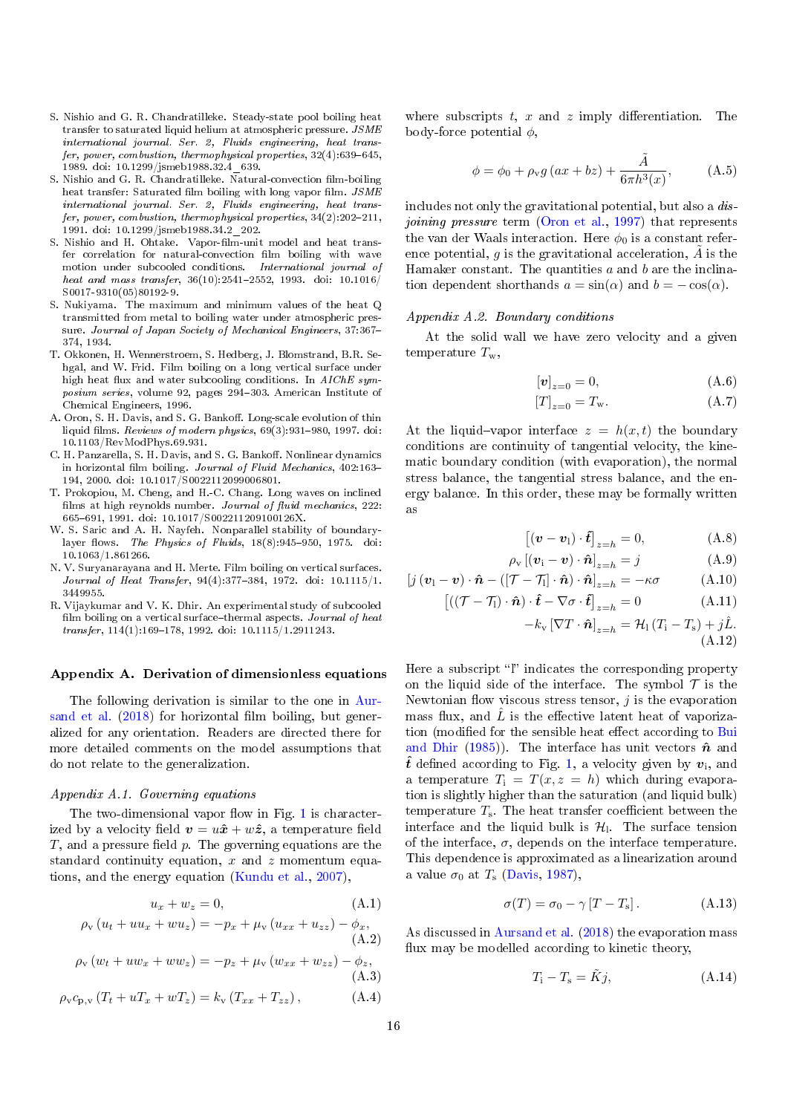- <span id="page-15-11"></span>S. Nishio and G. R. Chandratilleke. Steady-state pool boiling heat transfer to saturated liquid helium at atmospheric pressure. JSME international journal. Ser. 2, Fluids engineering, heat transfer, power, combustion, thermophysical properties,  $32(4)$ :639-645, 1989. doi: 10.1299/jsmeb1988.32.4\_639.
- <span id="page-15-2"></span>S. Nishio and G. R. Chandratilleke. Natural-convection film-boiling heat transfer: Saturated film boiling with long vapor film.  $JSME$ international journal. Ser. 2, Fluids engineering, heat transfer, power, combustion, thermophysical properties,  $34(2):202-211$ , 1991. doi: 10.1299/jsmeb1988.34.2\_202.
- <span id="page-15-3"></span>S. Nishio and H. Ohtake. Vapor-film-unit model and heat transfer correlation for natural-convection film boiling with wave motion under subcooled conditions. International journal of  $heat\ and\ mass\ transfer,\ 36(10):2541-2552,\ 1993.\ \ doi:\ 10.1016/$ S0017-9310(05)80192-9.
- <span id="page-15-0"></span>S. Nukiyama. The maximum and minimum values of the heat Q transmitted from metal to boiling water under atmospheric pressure. Journal of Japan Society of Mechanical Engineers, 37:367-374, 1934.
- <span id="page-15-10"></span>T. Okkonen, H. Wennerstroem, S. Hedberg, J. Blomstrand, B.R. Sehgal, and W. Frid. Film boiling on a long vertical surface under high heat flux and water subcooling conditions. In  $AIChE$  symposium series, volume 92, pages 294-303. American Institute of Chemical Engineers, 1996.
- <span id="page-15-5"></span>A. Oron, S. H. Davis, and S. G. Bankoff. Long-scale evolution of thin liquid films. Reviews of modern physics,  $69(3):931-980$ , 1997. doi: 10.1103/RevModPhys.69.931.
- <span id="page-15-6"></span>C. H. Panzarella, S. H. Davis, and S. G. Bankoff. Nonlinear dynamics in horizontal film boiling. Journal of Fluid Mechanics, 402:163-194, 2000. doi: 10.1017/S0022112099006801.
- <span id="page-15-7"></span>T. Prokopiou, M. Cheng, and H.-C. Chang. Long waves on inclined films at high reynolds number. Journal of fluid mechanics,  $222$ : 665691, 1991. doi: 10.1017/S002211209100126X.
- <span id="page-15-12"></span>W. S. Saric and A. H. Nayfeh. Nonparallel stability of boundarylayer flows. The Physics of Fluids,  $18(8):945-950$ , 1975. doi: 10.1063/1.861266.
- <span id="page-15-1"></span>N. V. Suryanarayana and H. Merte. Film boiling on vertical surfaces.  $\label{eq:10} \textit{Journal of Heat Transfer, 94(4):377--384, 1972. doi: 10.1115/1.}$ 3449955.
- <span id="page-15-4"></span>R. Vijaykumar and V. K. Dhir. An experimental study of subcooled film boiling on a vertical surface-thermal aspects. Journal of heat  $transfer, 114(1):169-178, 1992.$  doi:  $10.1115/1.2911243.$

#### <span id="page-15-8"></span>Appendix A. Derivation of dimensionless equations

The following derivation is similar to the one in [Aur](#page-14-11)[sand et al.](#page-14-11)  $(2018)$  for horizontal film boiling, but generalized for any orientation. Readers are directed there for more detailed comments on the model assumptions that do not relate to the generalization.

### <span id="page-15-9"></span>Appendix A.1. Governing equations

The two-dimensional vapor flow in Fig. [1](#page-2-0) is characterized by a velocity field  $v = u\hat{x} + w\hat{z}$ , a temperature field T, and a pressure field  $p$ . The governing equations are the standard continuity equation,  $x$  and  $z$  momentum equations, and the energy equation [\(Kundu et al.,](#page-14-18) [2007\)](#page-14-18),

$$
u_x + w_z = 0,\t\t(A.1)
$$

$$
\rho_{v} (u_{t} + uu_{x} + wu_{z}) = -p_{x} + \mu_{v} (u_{xx} + u_{zz}) - \phi_{x},
$$
  
(A.2)

$$
\rho_{v} (w_{t} + uw_{x} + ww_{z}) = -p_{z} + \mu_{v} (w_{xx} + w_{zz}) - \phi_{z},
$$
\n(A.3)

$$
\rho_{v}c_{p,v}(T_{t} + uT_{x} + wT_{z}) = k_{v}(T_{xx} + T_{zz}), \qquad (A.4)
$$

where subscripts  $t, x$  and  $z$  imply differentiation. The body-force potential  $\phi$ ,

<span id="page-15-14"></span>
$$
\phi = \phi_0 + \rho_v g \left( ax + bz \right) + \frac{\tilde{A}}{6\pi h^3(x)}, \quad (A.5)
$$

includes not only the gravitational potential, but also a dis-joining pressure term [\(Oron et al.,](#page-15-5) [1997\)](#page-15-5) that represents the van der Waals interaction. Here  $\phi_0$  is a constant reference potential, g is the gravitational acceleration,  $\tilde{A}$  is the Hamaker constant. The quantities  $a$  and  $b$  are the inclination dependent shorthands  $a = \sin(\alpha)$  and  $b = -\cos(\alpha)$ .

#### <span id="page-15-13"></span>Appendix A.2. Boundary conditions

At the solid wall we have zero velocity and a given temperature  $T_{w}$ ,

$$
[\boldsymbol{v}]_{z=0} = 0,\tag{A.6}
$$

$$
[T]_{z=0} = T_{\mathbf{w}}.\tag{A.7}
$$

At the liquid-vapor interface  $z = h(x, t)$  the boundary conditions are continuity of tangential velocity, the kinematic boundary condition (with evaporation), the normal stress balance, the tangential stress balance, and the energy balance. In this order, these may be formally written as

$$
[(\boldsymbol{v} - \boldsymbol{v}_1) \cdot \hat{\boldsymbol{t}}]_{z=h} = 0, \tag{A.8}
$$

$$
\rho_{\mathbf{v}}\left[\left(\mathbf{v}_{\mathbf{i}}-\mathbf{v}\right)\cdot\hat{\mathbf{n}}\right]_{z=h}=j\tag{A.9}
$$

$$
\left[j\left(\boldsymbol{v}_{1}-\boldsymbol{v}\right)\cdot\boldsymbol{\hat{n}}-\left(\left[\mathcal{T}-\mathcal{T}_{1}\right]\cdot\boldsymbol{\hat{n}}\right)\cdot\boldsymbol{\hat{n}}\right]_{z=h}=-\kappa\sigma\tag{A.10}
$$

$$
\left[ \left( (\mathcal{T} - \mathcal{T}_1) \cdot \hat{\mathbf{n}} \right) \cdot \hat{\boldsymbol{t}} - \nabla \sigma \cdot \hat{\boldsymbol{t}} \right]_{z=h} = 0 \tag{A.11}
$$

<span id="page-15-15"></span>
$$
-k_{\rm v}\left[\nabla T\cdot\hat{\boldsymbol{n}}\right]_{z=h}=\mathcal{H}_1\left(T_{\rm i}-T_{\rm s}\right)+j\hat{L}.\tag{A.12}
$$

Here a subscript " $\mathbf{l}$ " indicates the corresponding property on the liquid side of the interface. The symbol  $\mathcal T$  is the Newtonian flow viscous stress tensor,  $j$  is the evaporation mass flux, and  $\hat{L}$  is the effective latent heat of vaporiza-tion (modified for the sensible heat effect according to [Bui](#page-14-5) [and Dhir](#page-14-5) [\(1985\)](#page-14-5)). The interface has unit vectors  $\hat{n}$  and  $\hat{t}$  defined according to Fig. [1,](#page-2-0) a velocity given by  $v_i$ , and a temperature  $T_i = T(x, z = h)$  which during evaporation is slightly higher than the saturation (and liquid bulk) temperature  $T_s$ . The heat transfer coefficient between the interface and the liquid bulk is  $\mathcal{H}_1$ . The surface tension of the interface,  $\sigma$ , depends on the interface temperature. This dependence is approximated as a linearization around a value  $\sigma_0$  at  $T_s$  [\(Davis,](#page-14-19) [1987\)](#page-14-19),

$$
\sigma(T) = \sigma_0 - \gamma [T - T_{\rm s}]. \tag{A.13}
$$

As discussed in [Aursand et al.](#page-14-11) [\(2018\)](#page-14-11) the evaporation mass flux may be modelled according to kinetic theory,

$$
T_{\rm i} - T_{\rm s} = \tilde{K}j,\tag{A.14}
$$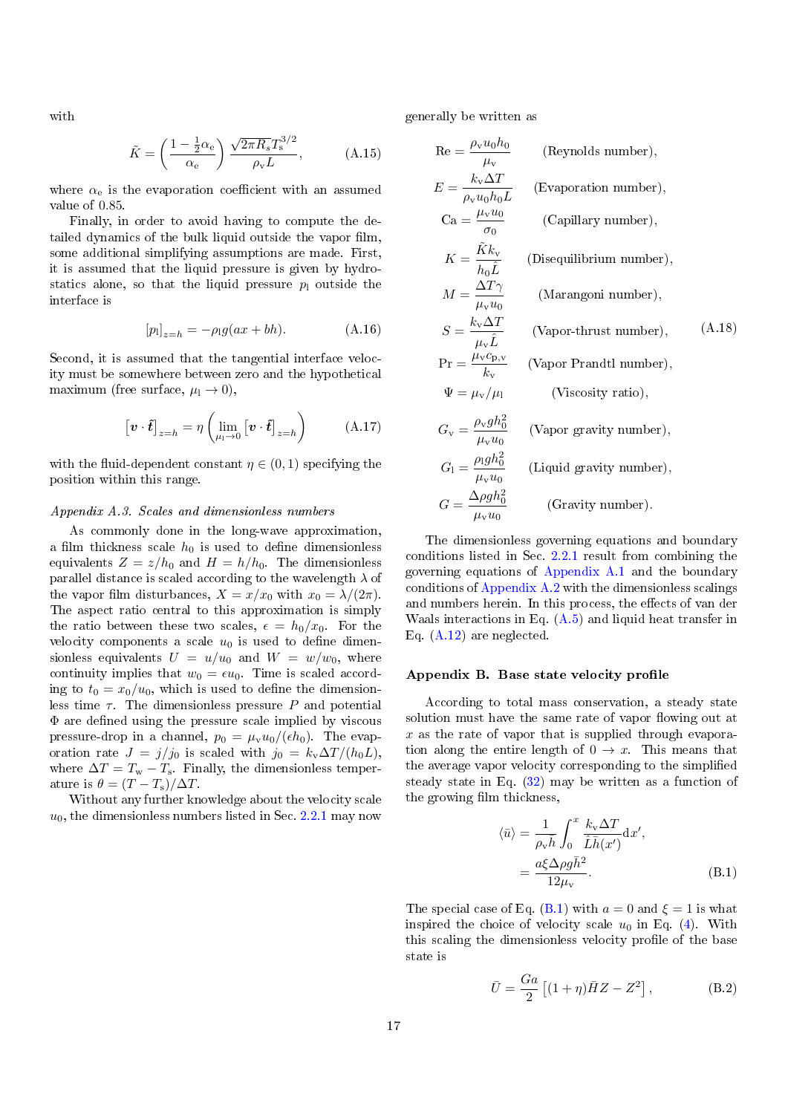with

$$
\tilde{K} = \left(\frac{1 - \frac{1}{2}\alpha_e}{\alpha_e}\right) \frac{\sqrt{2\pi R_s} T_s^{3/2}}{\rho_v L},\tag{A.15}
$$

where  $\alpha_e$  is the evaporation coefficient with an assumed value of 0.85.

Finally, in order to avoid having to compute the detailed dynamics of the bulk liquid outside the vapor film. some additional simplifying assumptions are made. First, it is assumed that the liquid pressure is given by hydrostatics alone, so that the liquid pressure  $p_1$  outside the interface is

$$
[p_1]_{z=h} = -\rho_1 g(ax + bh).
$$
 (A.16)

Second, it is assumed that the tangential interface velocity must be somewhere between zero and the hypothetical maximum (free surface,  $\mu_1 \rightarrow 0$ ),

$$
\left[\boldsymbol{v} \cdot \hat{\boldsymbol{t}}\right]_{z=h} = \eta \left(\lim_{\mu_1 \to 0} \left[\boldsymbol{v} \cdot \hat{\boldsymbol{t}}\right]_{z=h}\right) \tag{A.17}
$$

with the fluid-dependent constant  $\eta \in (0,1)$  specifying the position within this range.

### <span id="page-16-1"></span>Appendix A.3. Scales and dimensionless numbers

As commonly done in the long-wave approximation, a film thickness scale  $h_0$  is used to define dimensionless equivalents  $Z = z/h_0$  and  $H = h/h_0$ . The dimensionless parallel distance is scaled according to the wavelength  $\lambda$  of the vapor film disturbances,  $X = x/x_0$  with  $x_0 = \lambda/(2\pi)$ . The aspect ratio central to this approximation is simply the ratio between these two scales,  $\epsilon = h_0/x_0$ . For the velocity components a scale  $u_0$  is used to define dimensionless equivalents  $U = u/u_0$  and  $W = w/w_0$ , where continuity implies that  $w_0 = \epsilon u_0$ . Time is scaled according to  $t_0 = x_0/u_0$ , which is used to define the dimensionless time  $\tau$ . The dimensionless pressure P and potential  $\Phi$  are defined using the pressure scale implied by viscous pressure-drop in a channel,  $p_0 = \mu_v u_0/(\epsilon h_0)$ . The evaporation rate  $J = j/j_0$  is scaled with  $j_0 = k_v \Delta T / (h_0 L)$ , where  $\Delta T = T_{\rm w} - T_{\rm s}$ . Finally, the dimensionless temperature is  $\theta = (T - T_{\rm s})/\Delta T$ .

Without any further knowledge about the velocity scale  $u_0$ , the dimensionless numbers listed in Sec. [2.2.1](#page-2-7) may now

generally be written as

$$
Re = \frac{\rho_v u_0 h_0}{\mu_v} \qquad \text{(Reynolds number)},
$$
\n
$$
E = \frac{k_v \Delta T}{\rho_v u_0 h_0 L} \qquad \text{(Evaporation number)},
$$
\n
$$
Ca = \frac{\mu_v u_0}{\sigma_0} \qquad \text{(Capillary number)},
$$
\n
$$
K = \frac{\tilde{K} k_v}{h_0 \tilde{L}} \qquad \text{(Disequilibrium number)},
$$
\n
$$
M = \frac{\Delta T \gamma}{\mu_v u_0} \qquad \text{(Marangoni number)},
$$
\n
$$
S = \frac{k_v \Delta T}{\mu_v \tilde{L}} \qquad \text{(Vapor-thrust number)},
$$
\n
$$
Pr = \frac{\mu_v c_{p,v}}{k_v} \qquad \text{(Vapor Prandtl number)},
$$
\n
$$
\Psi = \mu_v / \mu_1 \qquad \text{(Viscosity ratio)},
$$
\n
$$
G_v = \frac{\rho_v g h_0^2}{\mu_v u_0} \qquad \text{(Vapor gravity number)},
$$
\n
$$
G_1 = \frac{\rho_1 g h_0^2}{\mu_v u_0} \qquad \text{(Liquid gravity number)},
$$
\n
$$
G = \frac{\Delta \rho g h_0^2}{\mu_v u_0} \qquad \text{(Gravity number)}.
$$

The dimensionless governing equations and boundary conditions listed in Sec. [2.2.1](#page-2-7) result from combining the governing equations of [Appendix A.1](#page-15-9) and the boundary conditions of [Appendix A.2](#page-15-13) with the dimensionless scalings and numbers herein. In this process, the effects of van der Waals interactions in Eq. [\(A.5\)](#page-15-14) and liquid heat transfer in Eq. [\(A.12\)](#page-15-15) are neglected.

### <span id="page-16-0"></span>Appendix B. Base state velocity profile

According to total mass conservation, a steady state solution must have the same rate of vapor flowing out at  $x$  as the rate of vapor that is supplied through evaporation along the entire length of  $0 \to x$ . This means that the average vapor velocity corresponding to the simplified steady state in Eq. [\(32\)](#page-4-7) may be written as a function of the growing film thickness,

<span id="page-16-2"></span>
$$
\langle \bar{u} \rangle = \frac{1}{\rho_v \bar{h}} \int_0^x \frac{k_v \Delta T}{\hat{L} \bar{h}(x')} dx',
$$
  
= 
$$
\frac{a\xi \Delta \rho g \bar{h}^2}{12\mu_v}.
$$
 (B.1)

The special case of Eq. [\(B.1\)](#page-16-2) with  $a = 0$  and  $\xi = 1$  is what inspired the choice of velocity scale  $u_0$  in Eq. [\(4\)](#page-2-6). With this scaling the dimensionless velocity profile of the base state is

$$
\bar{U} = \frac{Ga}{2} \left[ (1+\eta)\bar{H}Z - Z^2 \right],\tag{B.2}
$$